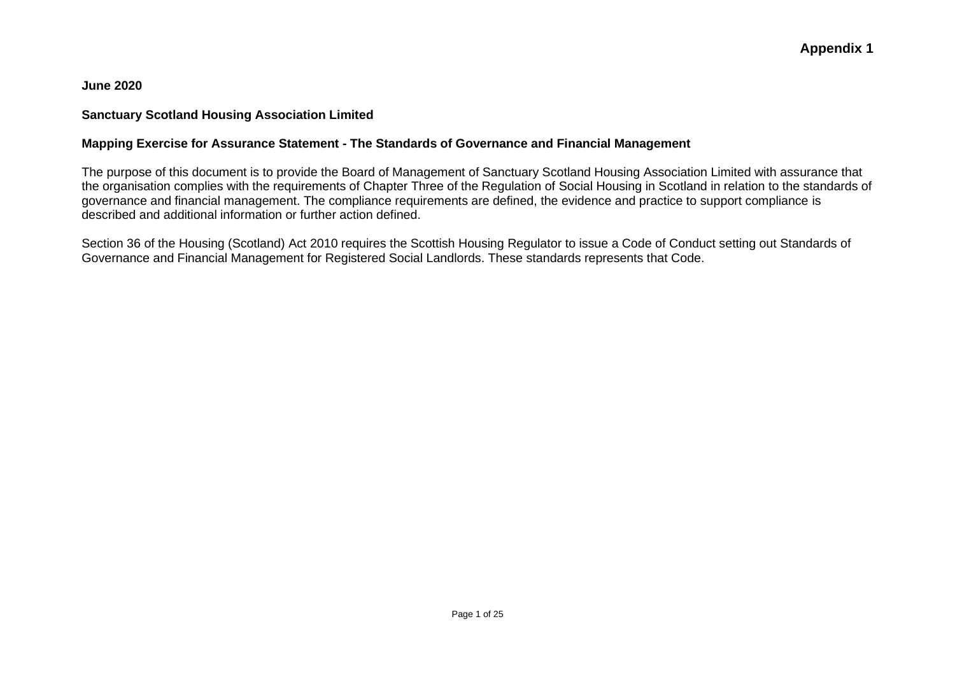**June 2020**

### **Sanctuary Scotland Housing Association Limited**

### **Mapping Exercise for Assurance Statement - The Standards of Governance and Financial Management**

The purpose of this document is to provide the Board of Management of Sanctuary Scotland Housing Association Limited with assurance that the organisation complies with the requirements of Chapter Three of the Regulation of Social Housing in Scotland in relation to the standards of governance and financial management. The compliance requirements are defined, the evidence and practice to support compliance is described and additional information or further action defined.

Section 36 of the Housing (Scotland) Act 2010 requires the Scottish Housing Regulator to issue a Code of Conduct setting out Standards of Governance and Financial Management for Registered Social Landlords. These standards represents that Code.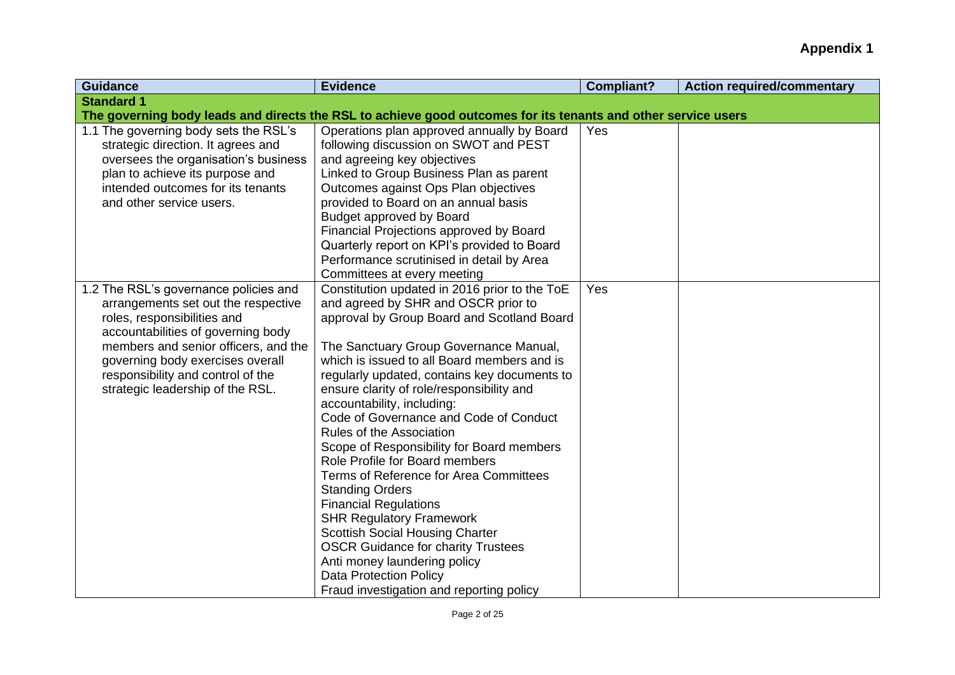| <b>Guidance</b>                                                                                                                                                                                                                                                                                        | <b>Evidence</b>                                                                                                                                                                                                                                                                                                                                                                                                                                                                                                                                                                                                                                                                                                                                                                                                                                        | <b>Compliant?</b> | <b>Action required/commentary</b> |
|--------------------------------------------------------------------------------------------------------------------------------------------------------------------------------------------------------------------------------------------------------------------------------------------------------|--------------------------------------------------------------------------------------------------------------------------------------------------------------------------------------------------------------------------------------------------------------------------------------------------------------------------------------------------------------------------------------------------------------------------------------------------------------------------------------------------------------------------------------------------------------------------------------------------------------------------------------------------------------------------------------------------------------------------------------------------------------------------------------------------------------------------------------------------------|-------------------|-----------------------------------|
| <b>Standard 1</b>                                                                                                                                                                                                                                                                                      |                                                                                                                                                                                                                                                                                                                                                                                                                                                                                                                                                                                                                                                                                                                                                                                                                                                        |                   |                                   |
|                                                                                                                                                                                                                                                                                                        | The governing body leads and directs the RSL to achieve good outcomes for its tenants and other service users                                                                                                                                                                                                                                                                                                                                                                                                                                                                                                                                                                                                                                                                                                                                          |                   |                                   |
| 1.1 The governing body sets the RSL's<br>strategic direction. It agrees and<br>oversees the organisation's business<br>plan to achieve its purpose and<br>intended outcomes for its tenants<br>and other service users.                                                                                | Operations plan approved annually by Board<br>following discussion on SWOT and PEST<br>and agreeing key objectives<br>Linked to Group Business Plan as parent<br>Outcomes against Ops Plan objectives<br>provided to Board on an annual basis<br>Budget approved by Board<br>Financial Projections approved by Board<br>Quarterly report on KPI's provided to Board<br>Performance scrutinised in detail by Area<br>Committees at every meeting                                                                                                                                                                                                                                                                                                                                                                                                        | Yes               |                                   |
| 1.2 The RSL's governance policies and<br>arrangements set out the respective<br>roles, responsibilities and<br>accountabilities of governing body<br>members and senior officers, and the<br>governing body exercises overall<br>responsibility and control of the<br>strategic leadership of the RSL. | Constitution updated in 2016 prior to the ToE<br>and agreed by SHR and OSCR prior to<br>approval by Group Board and Scotland Board<br>The Sanctuary Group Governance Manual,<br>which is issued to all Board members and is<br>regularly updated, contains key documents to<br>ensure clarity of role/responsibility and<br>accountability, including:<br>Code of Governance and Code of Conduct<br>Rules of the Association<br>Scope of Responsibility for Board members<br>Role Profile for Board members<br>Terms of Reference for Area Committees<br><b>Standing Orders</b><br><b>Financial Regulations</b><br><b>SHR Regulatory Framework</b><br><b>Scottish Social Housing Charter</b><br><b>OSCR Guidance for charity Trustees</b><br>Anti money laundering policy<br><b>Data Protection Policy</b><br>Fraud investigation and reporting policy | Yes               |                                   |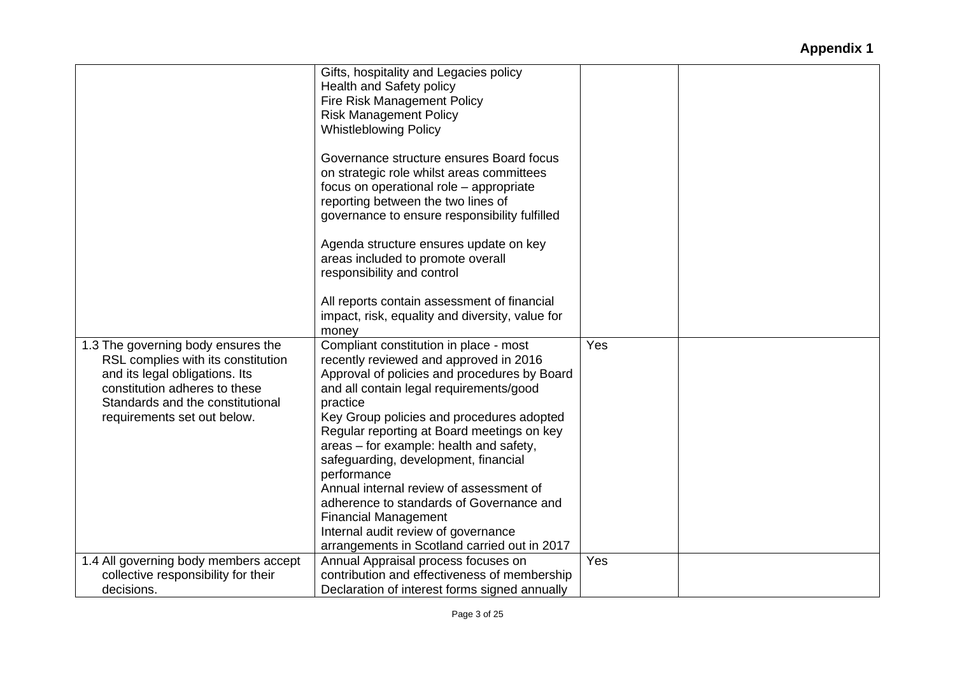|                                       | Gifts, hospitality and Legacies policy          |     |  |
|---------------------------------------|-------------------------------------------------|-----|--|
|                                       | Health and Safety policy                        |     |  |
|                                       | <b>Fire Risk Management Policy</b>              |     |  |
|                                       | <b>Risk Management Policy</b>                   |     |  |
|                                       | <b>Whistleblowing Policy</b>                    |     |  |
|                                       |                                                 |     |  |
|                                       | Governance structure ensures Board focus        |     |  |
|                                       | on strategic role whilst areas committees       |     |  |
|                                       | focus on operational role - appropriate         |     |  |
|                                       | reporting between the two lines of              |     |  |
|                                       |                                                 |     |  |
|                                       | governance to ensure responsibility fulfilled   |     |  |
|                                       | Agenda structure ensures update on key          |     |  |
|                                       | areas included to promote overall               |     |  |
|                                       |                                                 |     |  |
|                                       | responsibility and control                      |     |  |
|                                       | All reports contain assessment of financial     |     |  |
|                                       | impact, risk, equality and diversity, value for |     |  |
|                                       |                                                 |     |  |
|                                       | money                                           |     |  |
| 1.3 The governing body ensures the    | Compliant constitution in place - most          | Yes |  |
| RSL complies with its constitution    | recently reviewed and approved in 2016          |     |  |
| and its legal obligations. Its        | Approval of policies and procedures by Board    |     |  |
| constitution adheres to these         | and all contain legal requirements/good         |     |  |
| Standards and the constitutional      | practice                                        |     |  |
| requirements set out below.           | Key Group policies and procedures adopted       |     |  |
|                                       | Regular reporting at Board meetings on key      |     |  |
|                                       | areas - for example: health and safety,         |     |  |
|                                       | safeguarding, development, financial            |     |  |
|                                       | performance                                     |     |  |
|                                       | Annual internal review of assessment of         |     |  |
|                                       | adherence to standards of Governance and        |     |  |
|                                       | <b>Financial Management</b>                     |     |  |
|                                       | Internal audit review of governance             |     |  |
|                                       | arrangements in Scotland carried out in 2017    |     |  |
| 1.4 All governing body members accept | Annual Appraisal process focuses on             | Yes |  |
|                                       |                                                 |     |  |
| collective responsibility for their   | contribution and effectiveness of membership    |     |  |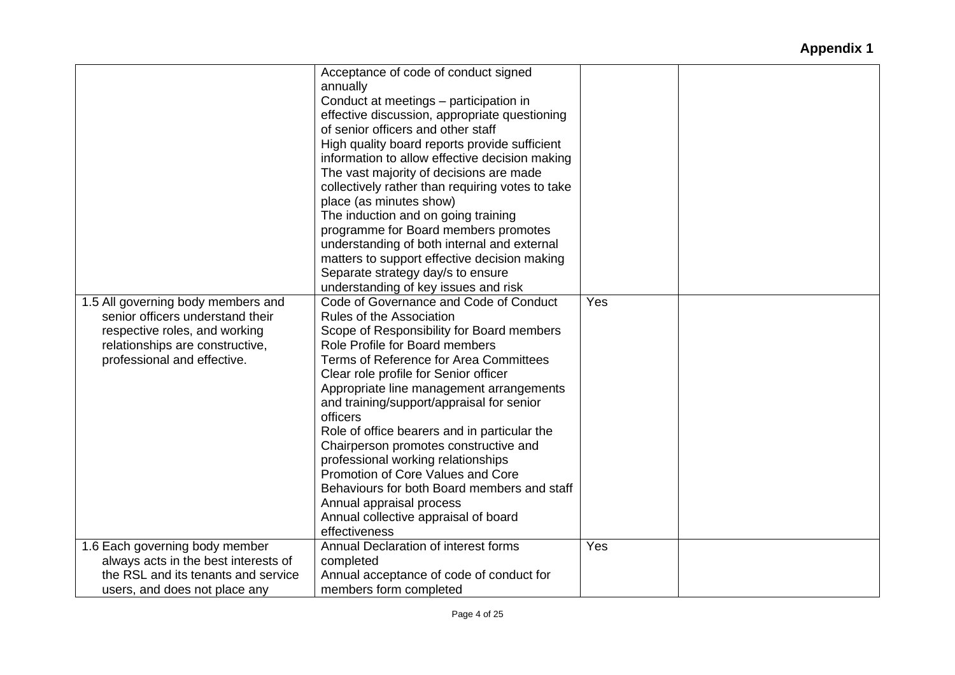|                                                                                                                                                                           | Acceptance of code of conduct signed<br>annually<br>Conduct at meetings - participation in<br>effective discussion, appropriate questioning<br>of senior officers and other staff<br>High quality board reports provide sufficient<br>information to allow effective decision making<br>The vast majority of decisions are made<br>collectively rather than requiring votes to take<br>place (as minutes show)<br>The induction and on going training<br>programme for Board members promotes<br>understanding of both internal and external                                                                                                             |     |  |
|---------------------------------------------------------------------------------------------------------------------------------------------------------------------------|----------------------------------------------------------------------------------------------------------------------------------------------------------------------------------------------------------------------------------------------------------------------------------------------------------------------------------------------------------------------------------------------------------------------------------------------------------------------------------------------------------------------------------------------------------------------------------------------------------------------------------------------------------|-----|--|
|                                                                                                                                                                           | matters to support effective decision making<br>Separate strategy day/s to ensure                                                                                                                                                                                                                                                                                                                                                                                                                                                                                                                                                                        |     |  |
|                                                                                                                                                                           | understanding of key issues and risk                                                                                                                                                                                                                                                                                                                                                                                                                                                                                                                                                                                                                     |     |  |
| 1.5 All governing body members and<br>senior officers understand their<br>respective roles, and working<br>relationships are constructive,<br>professional and effective. | Code of Governance and Code of Conduct<br>Rules of the Association<br>Scope of Responsibility for Board members<br>Role Profile for Board members<br><b>Terms of Reference for Area Committees</b><br>Clear role profile for Senior officer<br>Appropriate line management arrangements<br>and training/support/appraisal for senior<br>officers<br>Role of office bearers and in particular the<br>Chairperson promotes constructive and<br>professional working relationships<br>Promotion of Core Values and Core<br>Behaviours for both Board members and staff<br>Annual appraisal process<br>Annual collective appraisal of board<br>effectiveness | Yes |  |
| 1.6 Each governing body member                                                                                                                                            | Annual Declaration of interest forms                                                                                                                                                                                                                                                                                                                                                                                                                                                                                                                                                                                                                     | Yes |  |
| always acts in the best interests of<br>the RSL and its tenants and service                                                                                               | completed<br>Annual acceptance of code of conduct for                                                                                                                                                                                                                                                                                                                                                                                                                                                                                                                                                                                                    |     |  |
| users, and does not place any                                                                                                                                             | members form completed                                                                                                                                                                                                                                                                                                                                                                                                                                                                                                                                                                                                                                   |     |  |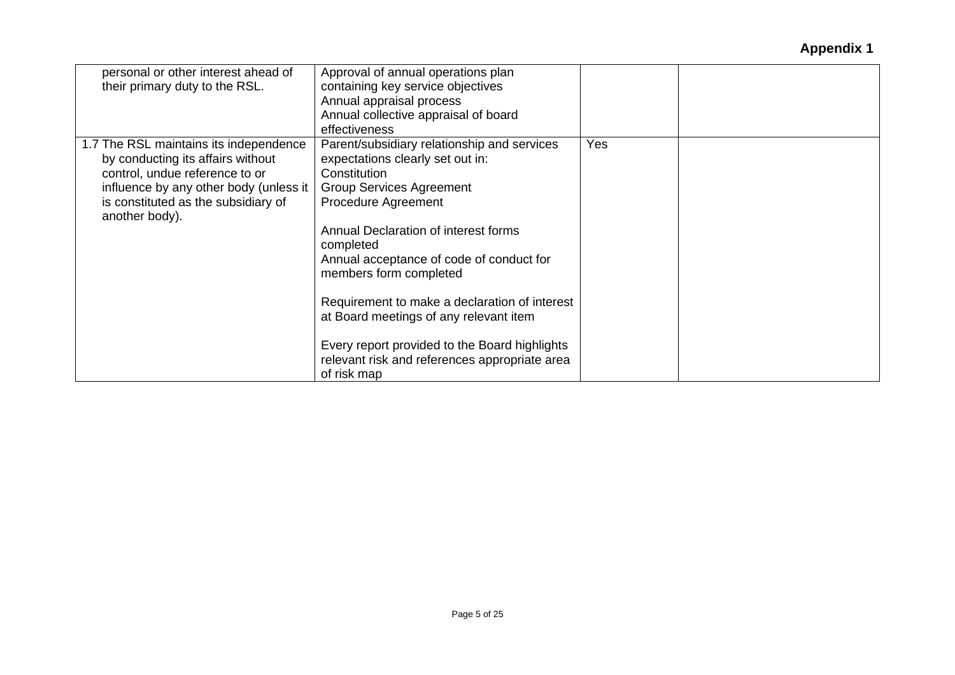| personal or other interest ahead of<br>their primary duty to the RSL.                                                                                                                                            | Approval of annual operations plan<br>containing key service objectives<br>Annual appraisal process<br>Annual collective appraisal of board<br>effectiveness                                                                                                                                                                                                                                                                                                                                            |     |  |
|------------------------------------------------------------------------------------------------------------------------------------------------------------------------------------------------------------------|---------------------------------------------------------------------------------------------------------------------------------------------------------------------------------------------------------------------------------------------------------------------------------------------------------------------------------------------------------------------------------------------------------------------------------------------------------------------------------------------------------|-----|--|
| 1.7 The RSL maintains its independence<br>by conducting its affairs without<br>control, undue reference to or<br>influence by any other body (unless it<br>is constituted as the subsidiary of<br>another body). | Parent/subsidiary relationship and services<br>expectations clearly set out in:<br>Constitution<br><b>Group Services Agreement</b><br><b>Procedure Agreement</b><br>Annual Declaration of interest forms<br>completed<br>Annual acceptance of code of conduct for<br>members form completed<br>Requirement to make a declaration of interest<br>at Board meetings of any relevant item<br>Every report provided to the Board highlights<br>relevant risk and references appropriate area<br>of risk map | Yes |  |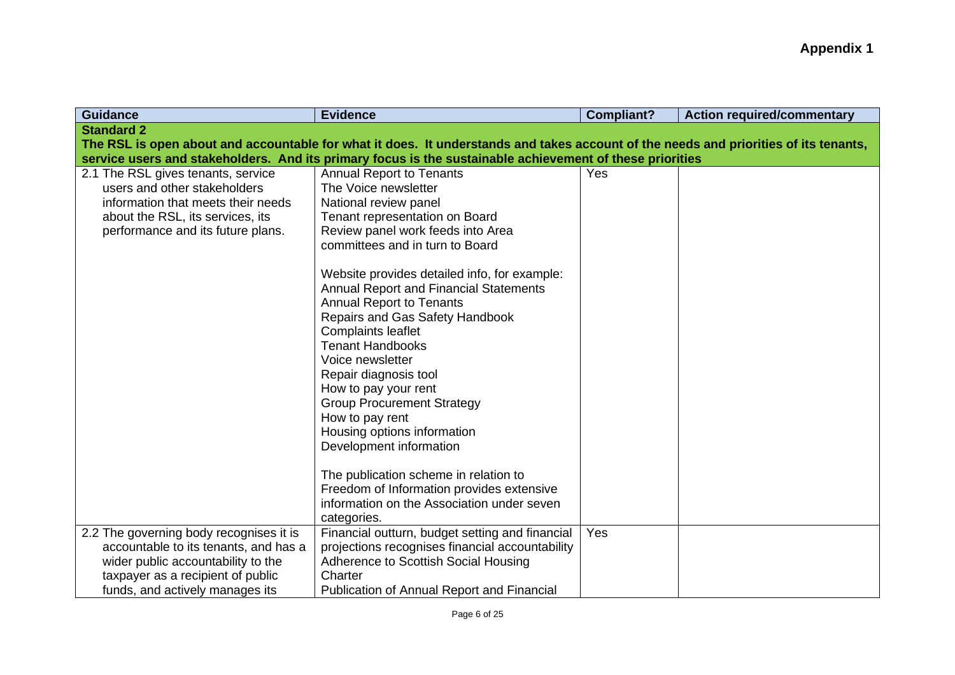| <b>Guidance</b>                         | <b>Evidence</b>                                                                                                                      | <b>Compliant?</b> | <b>Action required/commentary</b> |
|-----------------------------------------|--------------------------------------------------------------------------------------------------------------------------------------|-------------------|-----------------------------------|
| <b>Standard 2</b>                       |                                                                                                                                      |                   |                                   |
|                                         | The RSL is open about and accountable for what it does. It understands and takes account of the needs and priorities of its tenants, |                   |                                   |
|                                         | service users and stakeholders. And its primary focus is the sustainable achievement of these priorities                             |                   |                                   |
| 2.1 The RSL gives tenants, service      | <b>Annual Report to Tenants</b>                                                                                                      | Yes               |                                   |
| users and other stakeholders            | The Voice newsletter                                                                                                                 |                   |                                   |
| information that meets their needs      | National review panel                                                                                                                |                   |                                   |
| about the RSL, its services, its        | Tenant representation on Board                                                                                                       |                   |                                   |
| performance and its future plans.       | Review panel work feeds into Area                                                                                                    |                   |                                   |
|                                         | committees and in turn to Board                                                                                                      |                   |                                   |
|                                         | Website provides detailed info, for example:                                                                                         |                   |                                   |
|                                         | <b>Annual Report and Financial Statements</b>                                                                                        |                   |                                   |
|                                         | <b>Annual Report to Tenants</b>                                                                                                      |                   |                                   |
|                                         | Repairs and Gas Safety Handbook                                                                                                      |                   |                                   |
|                                         | <b>Complaints leaflet</b>                                                                                                            |                   |                                   |
|                                         | <b>Tenant Handbooks</b>                                                                                                              |                   |                                   |
|                                         | Voice newsletter                                                                                                                     |                   |                                   |
|                                         | Repair diagnosis tool                                                                                                                |                   |                                   |
|                                         | How to pay your rent                                                                                                                 |                   |                                   |
|                                         | <b>Group Procurement Strategy</b>                                                                                                    |                   |                                   |
|                                         | How to pay rent                                                                                                                      |                   |                                   |
|                                         | Housing options information                                                                                                          |                   |                                   |
|                                         | Development information                                                                                                              |                   |                                   |
|                                         | The publication scheme in relation to                                                                                                |                   |                                   |
|                                         | Freedom of Information provides extensive                                                                                            |                   |                                   |
|                                         | information on the Association under seven                                                                                           |                   |                                   |
|                                         | categories.                                                                                                                          |                   |                                   |
| 2.2 The governing body recognises it is | Financial outturn, budget setting and financial                                                                                      | Yes               |                                   |
| accountable to its tenants, and has a   | projections recognises financial accountability                                                                                      |                   |                                   |
| wider public accountability to the      | Adherence to Scottish Social Housing                                                                                                 |                   |                                   |
| taxpayer as a recipient of public       | Charter                                                                                                                              |                   |                                   |
| funds, and actively manages its         | <b>Publication of Annual Report and Financial</b>                                                                                    |                   |                                   |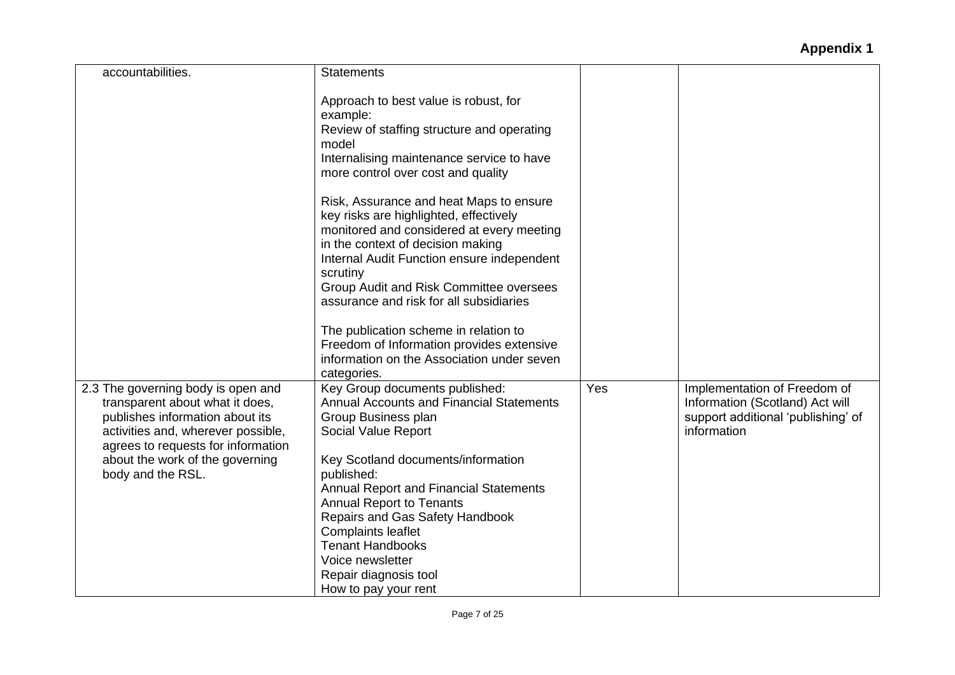| Approach to best value is robust, for<br>example:<br>Review of staffing structure and operating<br>Internalising maintenance service to have<br>more control over cost and quality<br>Risk, Assurance and heat Maps to ensure<br>key risks are highlighted, effectively<br>monitored and considered at every meeting |                                                           |                                                                                                                      |
|----------------------------------------------------------------------------------------------------------------------------------------------------------------------------------------------------------------------------------------------------------------------------------------------------------------------|-----------------------------------------------------------|----------------------------------------------------------------------------------------------------------------------|
|                                                                                                                                                                                                                                                                                                                      |                                                           |                                                                                                                      |
| Internal Audit Function ensure independent<br>scrutiny<br>Group Audit and Risk Committee oversees<br>assurance and risk for all subsidiaries                                                                                                                                                                         |                                                           |                                                                                                                      |
| The publication scheme in relation to<br>Freedom of Information provides extensive<br>information on the Association under seven<br>categories.                                                                                                                                                                      |                                                           |                                                                                                                      |
| Key Group documents published:<br><b>Annual Accounts and Financial Statements</b><br>Group Business plan<br>Social Value Report                                                                                                                                                                                      | Yes                                                       | Implementation of Freedom of<br>Information (Scotland) Act will<br>support additional 'publishing' of<br>information |
| Key Scotland documents/information<br>published:<br><b>Annual Report and Financial Statements</b><br><b>Annual Report to Tenants</b><br>Repairs and Gas Safety Handbook<br><b>Complaints leaflet</b><br><b>Tenant Handbooks</b><br>Voice newsletter<br>Repair diagnosis tool                                         |                                                           |                                                                                                                      |
|                                                                                                                                                                                                                                                                                                                      | in the context of decision making<br>How to pay your rent |                                                                                                                      |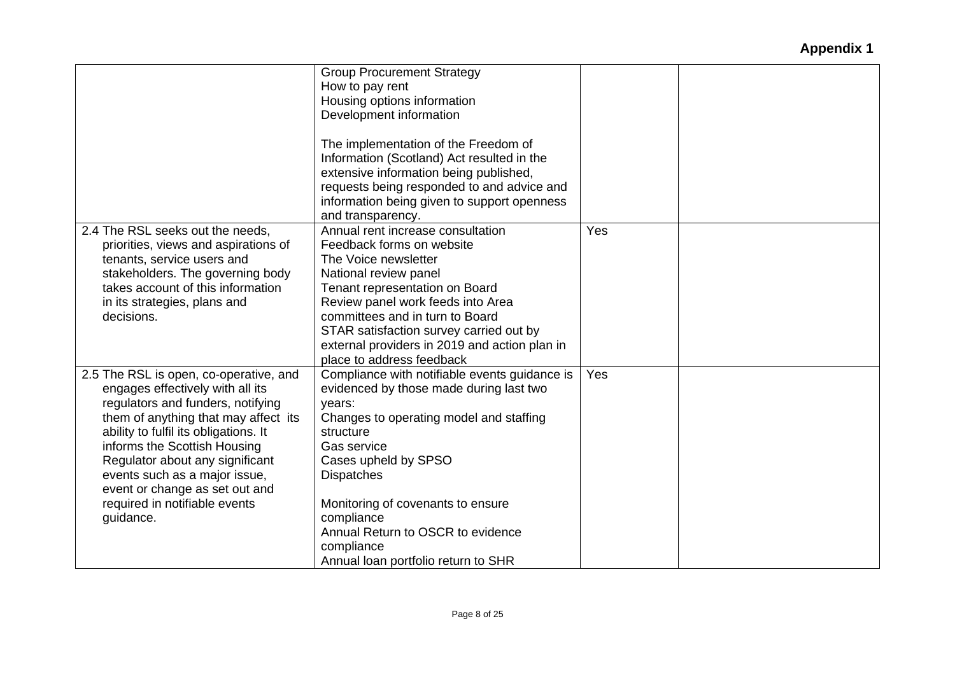|                                                                                                                                                                                                                                                                                                                                                                                      | <b>Group Procurement Strategy</b><br>How to pay rent<br>Housing options information<br>Development information<br>The implementation of the Freedom of<br>Information (Scotland) Act resulted in the<br>extensive information being published,                                                                                                                      |     |  |
|--------------------------------------------------------------------------------------------------------------------------------------------------------------------------------------------------------------------------------------------------------------------------------------------------------------------------------------------------------------------------------------|---------------------------------------------------------------------------------------------------------------------------------------------------------------------------------------------------------------------------------------------------------------------------------------------------------------------------------------------------------------------|-----|--|
|                                                                                                                                                                                                                                                                                                                                                                                      | requests being responded to and advice and<br>information being given to support openness<br>and transparency.                                                                                                                                                                                                                                                      |     |  |
| 2.4 The RSL seeks out the needs,<br>priorities, views and aspirations of<br>tenants, service users and<br>stakeholders. The governing body<br>takes account of this information<br>in its strategies, plans and<br>decisions.                                                                                                                                                        | Annual rent increase consultation<br>Feedback forms on website<br>The Voice newsletter<br>National review panel<br>Tenant representation on Board<br>Review panel work feeds into Area<br>committees and in turn to Board<br>STAR satisfaction survey carried out by<br>external providers in 2019 and action plan in<br>place to address feedback                  | Yes |  |
| 2.5 The RSL is open, co-operative, and<br>engages effectively with all its<br>regulators and funders, notifying<br>them of anything that may affect its<br>ability to fulfil its obligations. It<br>informs the Scottish Housing<br>Regulator about any significant<br>events such as a major issue,<br>event or change as set out and<br>required in notifiable events<br>guidance. | Compliance with notifiable events guidance is<br>evidenced by those made during last two<br>years:<br>Changes to operating model and staffing<br>structure<br>Gas service<br>Cases upheld by SPSO<br><b>Dispatches</b><br>Monitoring of covenants to ensure<br>compliance<br>Annual Return to OSCR to evidence<br>compliance<br>Annual loan portfolio return to SHR | Yes |  |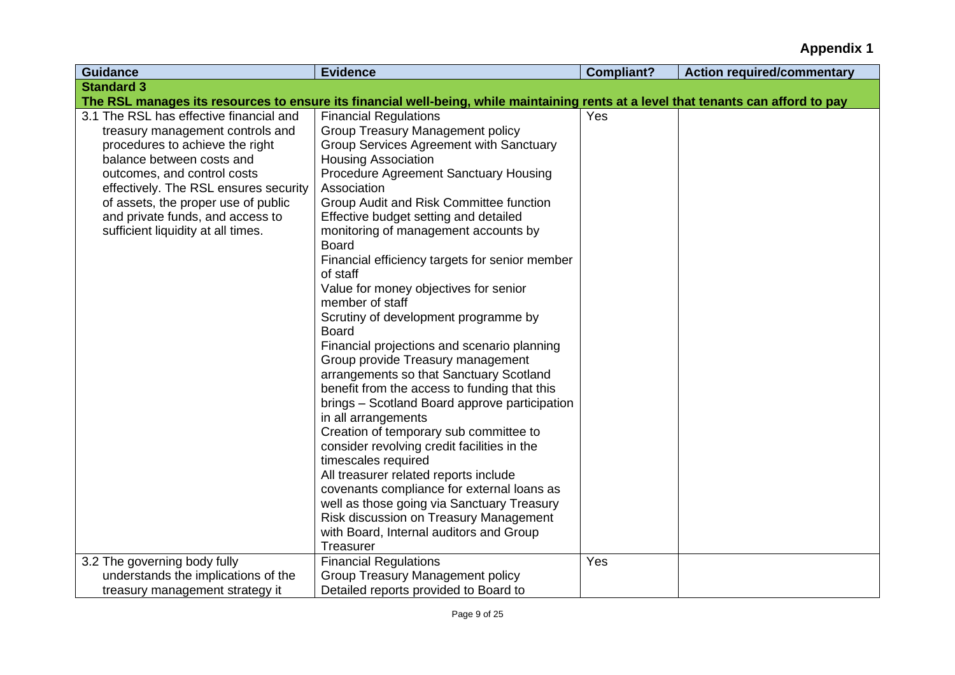| <b>Standard 3</b><br>The RSL manages its resources to ensure its financial well-being, while maintaining rents at a level that tenants can afford to pay<br>3.1 The RSL has effective financial and<br><b>Financial Regulations</b><br>Yes<br><b>Group Treasury Management policy</b><br>treasury management controls and<br><b>Group Services Agreement with Sanctuary</b><br>procedures to achieve the right<br>balance between costs and<br><b>Housing Association</b><br>Procedure Agreement Sanctuary Housing<br>outcomes, and control costs<br>effectively. The RSL ensures security<br>Association<br>of assets, the proper use of public<br>Group Audit and Risk Committee function<br>and private funds, and access to<br>Effective budget setting and detailed<br>sufficient liquidity at all times.<br>monitoring of management accounts by<br><b>Board</b><br>Financial efficiency targets for senior member<br>of staff<br>Value for money objectives for senior<br>member of staff<br>Scrutiny of development programme by<br><b>Board</b><br>Financial projections and scenario planning<br>Group provide Treasury management<br>arrangements so that Sanctuary Scotland<br>benefit from the access to funding that this<br>brings - Scotland Board approve participation<br>in all arrangements<br>Creation of temporary sub committee to<br>consider revolving credit facilities in the<br>timescales required<br>All treasurer related reports include<br>covenants compliance for external loans as<br>well as those going via Sanctuary Treasury<br>Risk discussion on Treasury Management<br>with Board, Internal auditors and Group<br>Treasurer<br>3.2 The governing body fully<br><b>Financial Regulations</b><br>Yes<br>understands the implications of the<br>Group Treasury Management policy | <b>Guidance</b> | <b>Evidence</b> | <b>Compliant?</b> | <b>Action required/commentary</b> |
|--------------------------------------------------------------------------------------------------------------------------------------------------------------------------------------------------------------------------------------------------------------------------------------------------------------------------------------------------------------------------------------------------------------------------------------------------------------------------------------------------------------------------------------------------------------------------------------------------------------------------------------------------------------------------------------------------------------------------------------------------------------------------------------------------------------------------------------------------------------------------------------------------------------------------------------------------------------------------------------------------------------------------------------------------------------------------------------------------------------------------------------------------------------------------------------------------------------------------------------------------------------------------------------------------------------------------------------------------------------------------------------------------------------------------------------------------------------------------------------------------------------------------------------------------------------------------------------------------------------------------------------------------------------------------------------------------------------------------------------------------------------------------------------------------------------------------|-----------------|-----------------|-------------------|-----------------------------------|
|                                                                                                                                                                                                                                                                                                                                                                                                                                                                                                                                                                                                                                                                                                                                                                                                                                                                                                                                                                                                                                                                                                                                                                                                                                                                                                                                                                                                                                                                                                                                                                                                                                                                                                                                                                                                                          |                 |                 |                   |                                   |
|                                                                                                                                                                                                                                                                                                                                                                                                                                                                                                                                                                                                                                                                                                                                                                                                                                                                                                                                                                                                                                                                                                                                                                                                                                                                                                                                                                                                                                                                                                                                                                                                                                                                                                                                                                                                                          |                 |                 |                   |                                   |
|                                                                                                                                                                                                                                                                                                                                                                                                                                                                                                                                                                                                                                                                                                                                                                                                                                                                                                                                                                                                                                                                                                                                                                                                                                                                                                                                                                                                                                                                                                                                                                                                                                                                                                                                                                                                                          |                 |                 |                   |                                   |
|                                                                                                                                                                                                                                                                                                                                                                                                                                                                                                                                                                                                                                                                                                                                                                                                                                                                                                                                                                                                                                                                                                                                                                                                                                                                                                                                                                                                                                                                                                                                                                                                                                                                                                                                                                                                                          |                 |                 |                   |                                   |
|                                                                                                                                                                                                                                                                                                                                                                                                                                                                                                                                                                                                                                                                                                                                                                                                                                                                                                                                                                                                                                                                                                                                                                                                                                                                                                                                                                                                                                                                                                                                                                                                                                                                                                                                                                                                                          |                 |                 |                   |                                   |
|                                                                                                                                                                                                                                                                                                                                                                                                                                                                                                                                                                                                                                                                                                                                                                                                                                                                                                                                                                                                                                                                                                                                                                                                                                                                                                                                                                                                                                                                                                                                                                                                                                                                                                                                                                                                                          |                 |                 |                   |                                   |
|                                                                                                                                                                                                                                                                                                                                                                                                                                                                                                                                                                                                                                                                                                                                                                                                                                                                                                                                                                                                                                                                                                                                                                                                                                                                                                                                                                                                                                                                                                                                                                                                                                                                                                                                                                                                                          |                 |                 |                   |                                   |
|                                                                                                                                                                                                                                                                                                                                                                                                                                                                                                                                                                                                                                                                                                                                                                                                                                                                                                                                                                                                                                                                                                                                                                                                                                                                                                                                                                                                                                                                                                                                                                                                                                                                                                                                                                                                                          |                 |                 |                   |                                   |
|                                                                                                                                                                                                                                                                                                                                                                                                                                                                                                                                                                                                                                                                                                                                                                                                                                                                                                                                                                                                                                                                                                                                                                                                                                                                                                                                                                                                                                                                                                                                                                                                                                                                                                                                                                                                                          |                 |                 |                   |                                   |
|                                                                                                                                                                                                                                                                                                                                                                                                                                                                                                                                                                                                                                                                                                                                                                                                                                                                                                                                                                                                                                                                                                                                                                                                                                                                                                                                                                                                                                                                                                                                                                                                                                                                                                                                                                                                                          |                 |                 |                   |                                   |
|                                                                                                                                                                                                                                                                                                                                                                                                                                                                                                                                                                                                                                                                                                                                                                                                                                                                                                                                                                                                                                                                                                                                                                                                                                                                                                                                                                                                                                                                                                                                                                                                                                                                                                                                                                                                                          |                 |                 |                   |                                   |
|                                                                                                                                                                                                                                                                                                                                                                                                                                                                                                                                                                                                                                                                                                                                                                                                                                                                                                                                                                                                                                                                                                                                                                                                                                                                                                                                                                                                                                                                                                                                                                                                                                                                                                                                                                                                                          |                 |                 |                   |                                   |
|                                                                                                                                                                                                                                                                                                                                                                                                                                                                                                                                                                                                                                                                                                                                                                                                                                                                                                                                                                                                                                                                                                                                                                                                                                                                                                                                                                                                                                                                                                                                                                                                                                                                                                                                                                                                                          |                 |                 |                   |                                   |
|                                                                                                                                                                                                                                                                                                                                                                                                                                                                                                                                                                                                                                                                                                                                                                                                                                                                                                                                                                                                                                                                                                                                                                                                                                                                                                                                                                                                                                                                                                                                                                                                                                                                                                                                                                                                                          |                 |                 |                   |                                   |
|                                                                                                                                                                                                                                                                                                                                                                                                                                                                                                                                                                                                                                                                                                                                                                                                                                                                                                                                                                                                                                                                                                                                                                                                                                                                                                                                                                                                                                                                                                                                                                                                                                                                                                                                                                                                                          |                 |                 |                   |                                   |
|                                                                                                                                                                                                                                                                                                                                                                                                                                                                                                                                                                                                                                                                                                                                                                                                                                                                                                                                                                                                                                                                                                                                                                                                                                                                                                                                                                                                                                                                                                                                                                                                                                                                                                                                                                                                                          |                 |                 |                   |                                   |
|                                                                                                                                                                                                                                                                                                                                                                                                                                                                                                                                                                                                                                                                                                                                                                                                                                                                                                                                                                                                                                                                                                                                                                                                                                                                                                                                                                                                                                                                                                                                                                                                                                                                                                                                                                                                                          |                 |                 |                   |                                   |
|                                                                                                                                                                                                                                                                                                                                                                                                                                                                                                                                                                                                                                                                                                                                                                                                                                                                                                                                                                                                                                                                                                                                                                                                                                                                                                                                                                                                                                                                                                                                                                                                                                                                                                                                                                                                                          |                 |                 |                   |                                   |
|                                                                                                                                                                                                                                                                                                                                                                                                                                                                                                                                                                                                                                                                                                                                                                                                                                                                                                                                                                                                                                                                                                                                                                                                                                                                                                                                                                                                                                                                                                                                                                                                                                                                                                                                                                                                                          |                 |                 |                   |                                   |
|                                                                                                                                                                                                                                                                                                                                                                                                                                                                                                                                                                                                                                                                                                                                                                                                                                                                                                                                                                                                                                                                                                                                                                                                                                                                                                                                                                                                                                                                                                                                                                                                                                                                                                                                                                                                                          |                 |                 |                   |                                   |
|                                                                                                                                                                                                                                                                                                                                                                                                                                                                                                                                                                                                                                                                                                                                                                                                                                                                                                                                                                                                                                                                                                                                                                                                                                                                                                                                                                                                                                                                                                                                                                                                                                                                                                                                                                                                                          |                 |                 |                   |                                   |
|                                                                                                                                                                                                                                                                                                                                                                                                                                                                                                                                                                                                                                                                                                                                                                                                                                                                                                                                                                                                                                                                                                                                                                                                                                                                                                                                                                                                                                                                                                                                                                                                                                                                                                                                                                                                                          |                 |                 |                   |                                   |
|                                                                                                                                                                                                                                                                                                                                                                                                                                                                                                                                                                                                                                                                                                                                                                                                                                                                                                                                                                                                                                                                                                                                                                                                                                                                                                                                                                                                                                                                                                                                                                                                                                                                                                                                                                                                                          |                 |                 |                   |                                   |
|                                                                                                                                                                                                                                                                                                                                                                                                                                                                                                                                                                                                                                                                                                                                                                                                                                                                                                                                                                                                                                                                                                                                                                                                                                                                                                                                                                                                                                                                                                                                                                                                                                                                                                                                                                                                                          |                 |                 |                   |                                   |
|                                                                                                                                                                                                                                                                                                                                                                                                                                                                                                                                                                                                                                                                                                                                                                                                                                                                                                                                                                                                                                                                                                                                                                                                                                                                                                                                                                                                                                                                                                                                                                                                                                                                                                                                                                                                                          |                 |                 |                   |                                   |
|                                                                                                                                                                                                                                                                                                                                                                                                                                                                                                                                                                                                                                                                                                                                                                                                                                                                                                                                                                                                                                                                                                                                                                                                                                                                                                                                                                                                                                                                                                                                                                                                                                                                                                                                                                                                                          |                 |                 |                   |                                   |
|                                                                                                                                                                                                                                                                                                                                                                                                                                                                                                                                                                                                                                                                                                                                                                                                                                                                                                                                                                                                                                                                                                                                                                                                                                                                                                                                                                                                                                                                                                                                                                                                                                                                                                                                                                                                                          |                 |                 |                   |                                   |
|                                                                                                                                                                                                                                                                                                                                                                                                                                                                                                                                                                                                                                                                                                                                                                                                                                                                                                                                                                                                                                                                                                                                                                                                                                                                                                                                                                                                                                                                                                                                                                                                                                                                                                                                                                                                                          |                 |                 |                   |                                   |
|                                                                                                                                                                                                                                                                                                                                                                                                                                                                                                                                                                                                                                                                                                                                                                                                                                                                                                                                                                                                                                                                                                                                                                                                                                                                                                                                                                                                                                                                                                                                                                                                                                                                                                                                                                                                                          |                 |                 |                   |                                   |
|                                                                                                                                                                                                                                                                                                                                                                                                                                                                                                                                                                                                                                                                                                                                                                                                                                                                                                                                                                                                                                                                                                                                                                                                                                                                                                                                                                                                                                                                                                                                                                                                                                                                                                                                                                                                                          |                 |                 |                   |                                   |
|                                                                                                                                                                                                                                                                                                                                                                                                                                                                                                                                                                                                                                                                                                                                                                                                                                                                                                                                                                                                                                                                                                                                                                                                                                                                                                                                                                                                                                                                                                                                                                                                                                                                                                                                                                                                                          |                 |                 |                   |                                   |
|                                                                                                                                                                                                                                                                                                                                                                                                                                                                                                                                                                                                                                                                                                                                                                                                                                                                                                                                                                                                                                                                                                                                                                                                                                                                                                                                                                                                                                                                                                                                                                                                                                                                                                                                                                                                                          |                 |                 |                   |                                   |
|                                                                                                                                                                                                                                                                                                                                                                                                                                                                                                                                                                                                                                                                                                                                                                                                                                                                                                                                                                                                                                                                                                                                                                                                                                                                                                                                                                                                                                                                                                                                                                                                                                                                                                                                                                                                                          |                 |                 |                   |                                   |
|                                                                                                                                                                                                                                                                                                                                                                                                                                                                                                                                                                                                                                                                                                                                                                                                                                                                                                                                                                                                                                                                                                                                                                                                                                                                                                                                                                                                                                                                                                                                                                                                                                                                                                                                                                                                                          |                 |                 |                   |                                   |
| Detailed reports provided to Board to<br>treasury management strategy it                                                                                                                                                                                                                                                                                                                                                                                                                                                                                                                                                                                                                                                                                                                                                                                                                                                                                                                                                                                                                                                                                                                                                                                                                                                                                                                                                                                                                                                                                                                                                                                                                                                                                                                                                 |                 |                 |                   |                                   |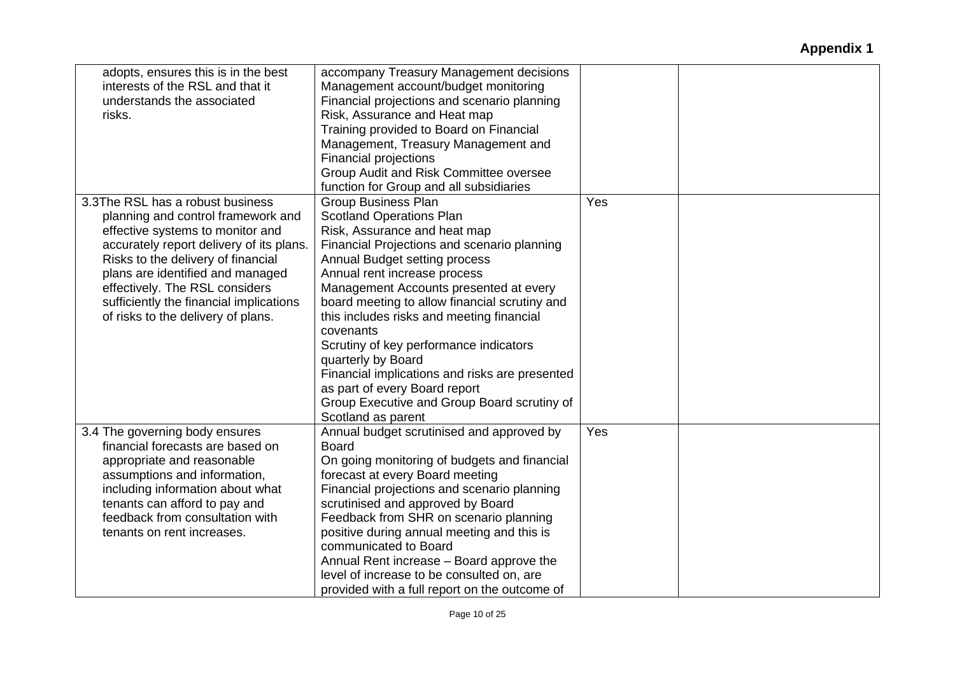| adopts, ensures this is in the best<br>interests of the RSL and that it<br>understands the associated<br>risks.                                                                                                                                                                                                                                     | accompany Treasury Management decisions<br>Management account/budget monitoring<br>Financial projections and scenario planning<br>Risk, Assurance and Heat map<br>Training provided to Board on Financial<br>Management, Treasury Management and<br><b>Financial projections</b><br>Group Audit and Risk Committee oversee                                                                                                                                                                                                                                                                 |     |  |
|-----------------------------------------------------------------------------------------------------------------------------------------------------------------------------------------------------------------------------------------------------------------------------------------------------------------------------------------------------|--------------------------------------------------------------------------------------------------------------------------------------------------------------------------------------------------------------------------------------------------------------------------------------------------------------------------------------------------------------------------------------------------------------------------------------------------------------------------------------------------------------------------------------------------------------------------------------------|-----|--|
|                                                                                                                                                                                                                                                                                                                                                     | function for Group and all subsidiaries                                                                                                                                                                                                                                                                                                                                                                                                                                                                                                                                                    |     |  |
| 3.3The RSL has a robust business<br>planning and control framework and<br>effective systems to monitor and<br>accurately report delivery of its plans.<br>Risks to the delivery of financial<br>plans are identified and managed<br>effectively. The RSL considers<br>sufficiently the financial implications<br>of risks to the delivery of plans. | <b>Group Business Plan</b><br><b>Scotland Operations Plan</b><br>Risk, Assurance and heat map<br>Financial Projections and scenario planning<br>Annual Budget setting process<br>Annual rent increase process<br>Management Accounts presented at every<br>board meeting to allow financial scrutiny and<br>this includes risks and meeting financial<br>covenants<br>Scrutiny of key performance indicators<br>quarterly by Board<br>Financial implications and risks are presented<br>as part of every Board report<br>Group Executive and Group Board scrutiny of<br>Scotland as parent | Yes |  |
| 3.4 The governing body ensures<br>financial forecasts are based on<br>appropriate and reasonable<br>assumptions and information,<br>including information about what                                                                                                                                                                                | Annual budget scrutinised and approved by<br><b>Board</b><br>On going monitoring of budgets and financial<br>forecast at every Board meeting<br>Financial projections and scenario planning                                                                                                                                                                                                                                                                                                                                                                                                | Yes |  |
| tenants can afford to pay and<br>feedback from consultation with<br>tenants on rent increases.                                                                                                                                                                                                                                                      | scrutinised and approved by Board<br>Feedback from SHR on scenario planning<br>positive during annual meeting and this is<br>communicated to Board<br>Annual Rent increase - Board approve the<br>level of increase to be consulted on, are<br>provided with a full report on the outcome of                                                                                                                                                                                                                                                                                               |     |  |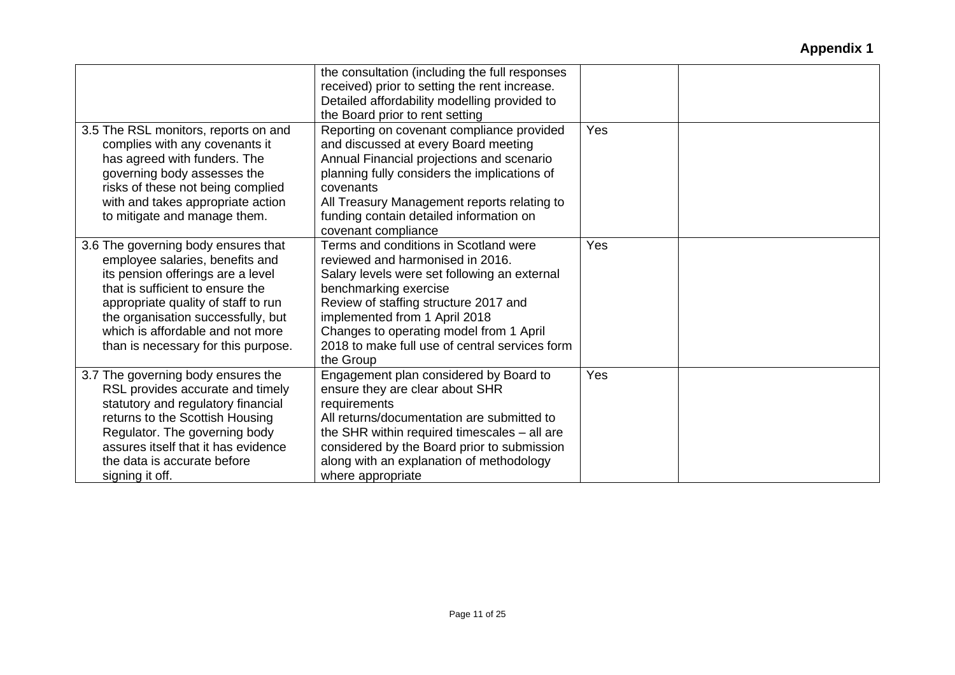|                                                                                                                                                                                                                                                                                                         | the consultation (including the full responses<br>received) prior to setting the rent increase.<br>Detailed affordability modelling provided to<br>the Board prior to rent setting                                                                                                                                                     |     |  |
|---------------------------------------------------------------------------------------------------------------------------------------------------------------------------------------------------------------------------------------------------------------------------------------------------------|----------------------------------------------------------------------------------------------------------------------------------------------------------------------------------------------------------------------------------------------------------------------------------------------------------------------------------------|-----|--|
| 3.5 The RSL monitors, reports on and<br>complies with any covenants it<br>has agreed with funders. The<br>governing body assesses the<br>risks of these not being complied<br>with and takes appropriate action<br>to mitigate and manage them.                                                         | Reporting on covenant compliance provided<br>and discussed at every Board meeting<br>Annual Financial projections and scenario<br>planning fully considers the implications of<br>covenants<br>All Treasury Management reports relating to<br>funding contain detailed information on<br>covenant compliance                           | Yes |  |
| 3.6 The governing body ensures that<br>employee salaries, benefits and<br>its pension offerings are a level<br>that is sufficient to ensure the<br>appropriate quality of staff to run<br>the organisation successfully, but<br>which is affordable and not more<br>than is necessary for this purpose. | Terms and conditions in Scotland were<br>reviewed and harmonised in 2016.<br>Salary levels were set following an external<br>benchmarking exercise<br>Review of staffing structure 2017 and<br>implemented from 1 April 2018<br>Changes to operating model from 1 April<br>2018 to make full use of central services form<br>the Group | Yes |  |
| 3.7 The governing body ensures the<br>RSL provides accurate and timely<br>statutory and regulatory financial<br>returns to the Scottish Housing<br>Regulator. The governing body<br>assures itself that it has evidence<br>the data is accurate before<br>signing it off.                               | Engagement plan considered by Board to<br>ensure they are clear about SHR<br>requirements<br>All returns/documentation are submitted to<br>the SHR within required timescales - all are<br>considered by the Board prior to submission<br>along with an explanation of methodology<br>where appropriate                                | Yes |  |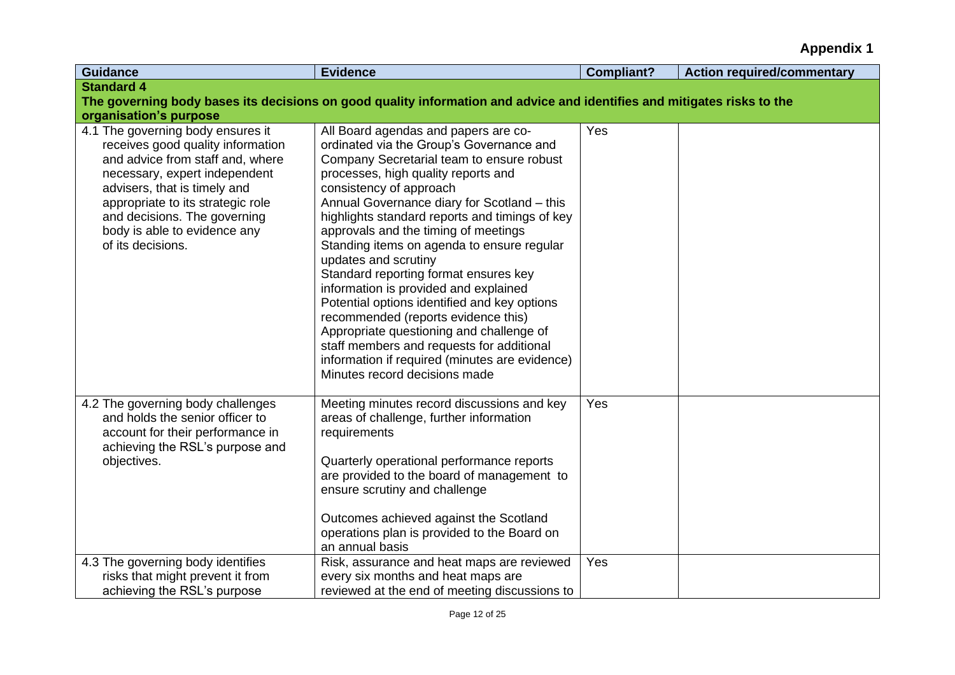| <b>Guidance</b>                                                                                                                                                                                                                                                                                       | <b>Evidence</b>                                                                                                                                                                                                                                                                                                                                                                                                                                                                                                                                                                                                                                                                                                                                                     | <b>Compliant?</b> | <b>Action required/commentary</b> |
|-------------------------------------------------------------------------------------------------------------------------------------------------------------------------------------------------------------------------------------------------------------------------------------------------------|---------------------------------------------------------------------------------------------------------------------------------------------------------------------------------------------------------------------------------------------------------------------------------------------------------------------------------------------------------------------------------------------------------------------------------------------------------------------------------------------------------------------------------------------------------------------------------------------------------------------------------------------------------------------------------------------------------------------------------------------------------------------|-------------------|-----------------------------------|
| <b>Standard 4</b>                                                                                                                                                                                                                                                                                     |                                                                                                                                                                                                                                                                                                                                                                                                                                                                                                                                                                                                                                                                                                                                                                     |                   |                                   |
|                                                                                                                                                                                                                                                                                                       | The governing body bases its decisions on good quality information and advice and identifies and mitigates risks to the                                                                                                                                                                                                                                                                                                                                                                                                                                                                                                                                                                                                                                             |                   |                                   |
| organisation's purpose                                                                                                                                                                                                                                                                                |                                                                                                                                                                                                                                                                                                                                                                                                                                                                                                                                                                                                                                                                                                                                                                     |                   |                                   |
| 4.1 The governing body ensures it<br>receives good quality information<br>and advice from staff and, where<br>necessary, expert independent<br>advisers, that is timely and<br>appropriate to its strategic role<br>and decisions. The governing<br>body is able to evidence any<br>of its decisions. | All Board agendas and papers are co-<br>ordinated via the Group's Governance and<br>Company Secretarial team to ensure robust<br>processes, high quality reports and<br>consistency of approach<br>Annual Governance diary for Scotland - this<br>highlights standard reports and timings of key<br>approvals and the timing of meetings<br>Standing items on agenda to ensure regular<br>updates and scrutiny<br>Standard reporting format ensures key<br>information is provided and explained<br>Potential options identified and key options<br>recommended (reports evidence this)<br>Appropriate questioning and challenge of<br>staff members and requests for additional<br>information if required (minutes are evidence)<br>Minutes record decisions made | Yes               |                                   |
| 4.2 The governing body challenges<br>and holds the senior officer to<br>account for their performance in<br>achieving the RSL's purpose and<br>objectives.                                                                                                                                            | Meeting minutes record discussions and key<br>areas of challenge, further information<br>requirements<br>Quarterly operational performance reports<br>are provided to the board of management to<br>ensure scrutiny and challenge<br>Outcomes achieved against the Scotland<br>operations plan is provided to the Board on<br>an annual basis                                                                                                                                                                                                                                                                                                                                                                                                                       | Yes               |                                   |
| 4.3 The governing body identifies<br>risks that might prevent it from<br>achieving the RSL's purpose                                                                                                                                                                                                  | Risk, assurance and heat maps are reviewed<br>every six months and heat maps are<br>reviewed at the end of meeting discussions to                                                                                                                                                                                                                                                                                                                                                                                                                                                                                                                                                                                                                                   | Yes               |                                   |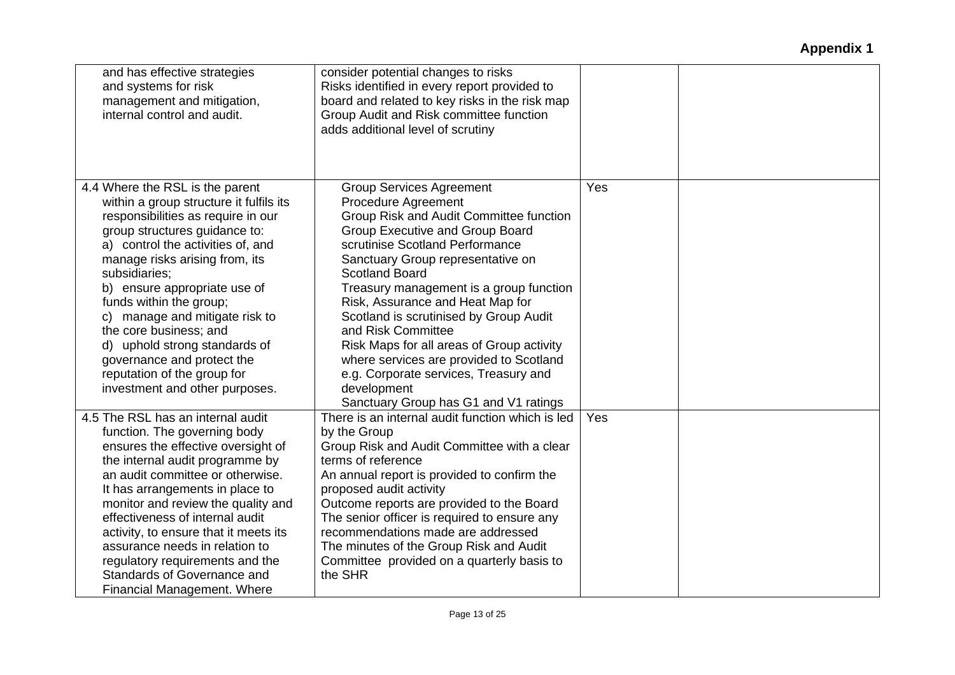| and has effective strategies<br>and systems for risk<br>management and mitigation,<br>internal control and audit.                                                                                                                                                                                                                                                                                                                                                                                | consider potential changes to risks<br>Risks identified in every report provided to<br>board and related to key risks in the risk map<br>Group Audit and Risk committee function<br>adds additional level of scrutiny                                                                                                                                                                                                                                                                                                                                                                |     |  |
|--------------------------------------------------------------------------------------------------------------------------------------------------------------------------------------------------------------------------------------------------------------------------------------------------------------------------------------------------------------------------------------------------------------------------------------------------------------------------------------------------|--------------------------------------------------------------------------------------------------------------------------------------------------------------------------------------------------------------------------------------------------------------------------------------------------------------------------------------------------------------------------------------------------------------------------------------------------------------------------------------------------------------------------------------------------------------------------------------|-----|--|
| 4.4 Where the RSL is the parent<br>within a group structure it fulfils its<br>responsibilities as require in our<br>group structures guidance to:<br>a) control the activities of, and<br>manage risks arising from, its<br>subsidiaries;<br>b) ensure appropriate use of<br>funds within the group;<br>c) manage and mitigate risk to<br>the core business; and<br>d) uphold strong standards of<br>governance and protect the<br>reputation of the group for<br>investment and other purposes. | <b>Group Services Agreement</b><br>Procedure Agreement<br>Group Risk and Audit Committee function<br><b>Group Executive and Group Board</b><br>scrutinise Scotland Performance<br>Sanctuary Group representative on<br><b>Scotland Board</b><br>Treasury management is a group function<br>Risk, Assurance and Heat Map for<br>Scotland is scrutinised by Group Audit<br>and Risk Committee<br>Risk Maps for all areas of Group activity<br>where services are provided to Scotland<br>e.g. Corporate services, Treasury and<br>development<br>Sanctuary Group has G1 and V1 ratings | Yes |  |
| 4.5 The RSL has an internal audit<br>function. The governing body<br>ensures the effective oversight of<br>the internal audit programme by<br>an audit committee or otherwise.<br>It has arrangements in place to<br>monitor and review the quality and<br>effectiveness of internal audit<br>activity, to ensure that it meets its<br>assurance needs in relation to<br>regulatory requirements and the<br>Standards of Governance and<br>Financial Management. Where                           | There is an internal audit function which is led<br>by the Group<br>Group Risk and Audit Committee with a clear<br>terms of reference<br>An annual report is provided to confirm the<br>proposed audit activity<br>Outcome reports are provided to the Board<br>The senior officer is required to ensure any<br>recommendations made are addressed<br>The minutes of the Group Risk and Audit<br>Committee provided on a quarterly basis to<br>the SHR                                                                                                                               | Yes |  |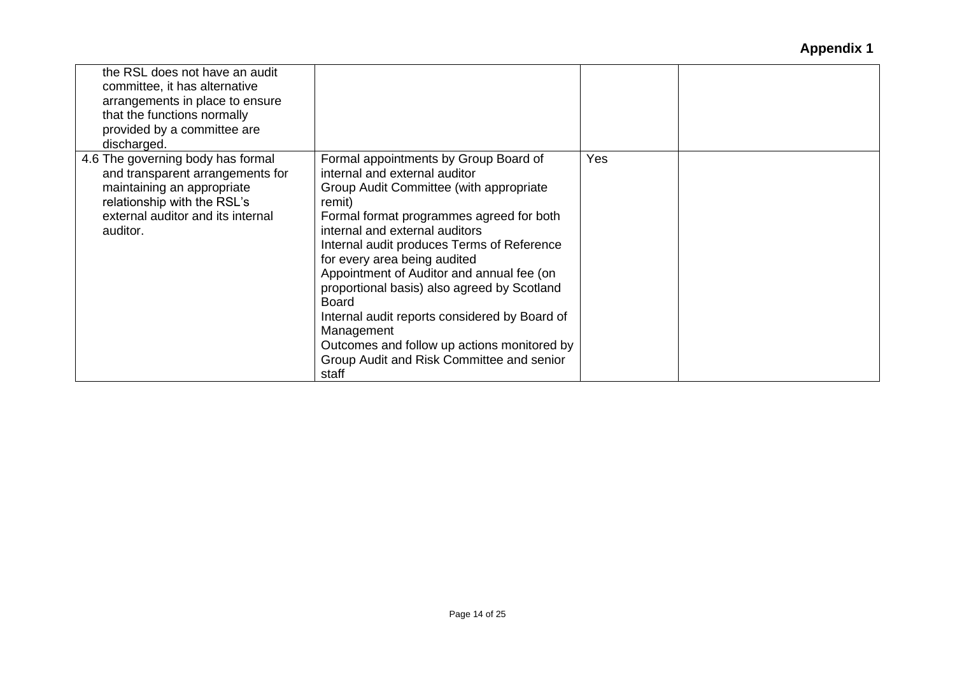| the RSL does not have an audit<br>committee, it has alternative<br>arrangements in place to ensure<br>that the functions normally<br>provided by a committee are<br>discharged.     |                                                                                                                                                                                                                                                                                                                                                                                                                                                                                                                                                                         |     |  |
|-------------------------------------------------------------------------------------------------------------------------------------------------------------------------------------|-------------------------------------------------------------------------------------------------------------------------------------------------------------------------------------------------------------------------------------------------------------------------------------------------------------------------------------------------------------------------------------------------------------------------------------------------------------------------------------------------------------------------------------------------------------------------|-----|--|
| 4.6 The governing body has formal<br>and transparent arrangements for<br>maintaining an appropriate<br>relationship with the RSL's<br>external auditor and its internal<br>auditor. | Formal appointments by Group Board of<br>internal and external auditor<br>Group Audit Committee (with appropriate<br>remit)<br>Formal format programmes agreed for both<br>internal and external auditors<br>Internal audit produces Terms of Reference<br>for every area being audited<br>Appointment of Auditor and annual fee (on<br>proportional basis) also agreed by Scotland<br><b>Board</b><br>Internal audit reports considered by Board of<br>Management<br>Outcomes and follow up actions monitored by<br>Group Audit and Risk Committee and senior<br>staff | Yes |  |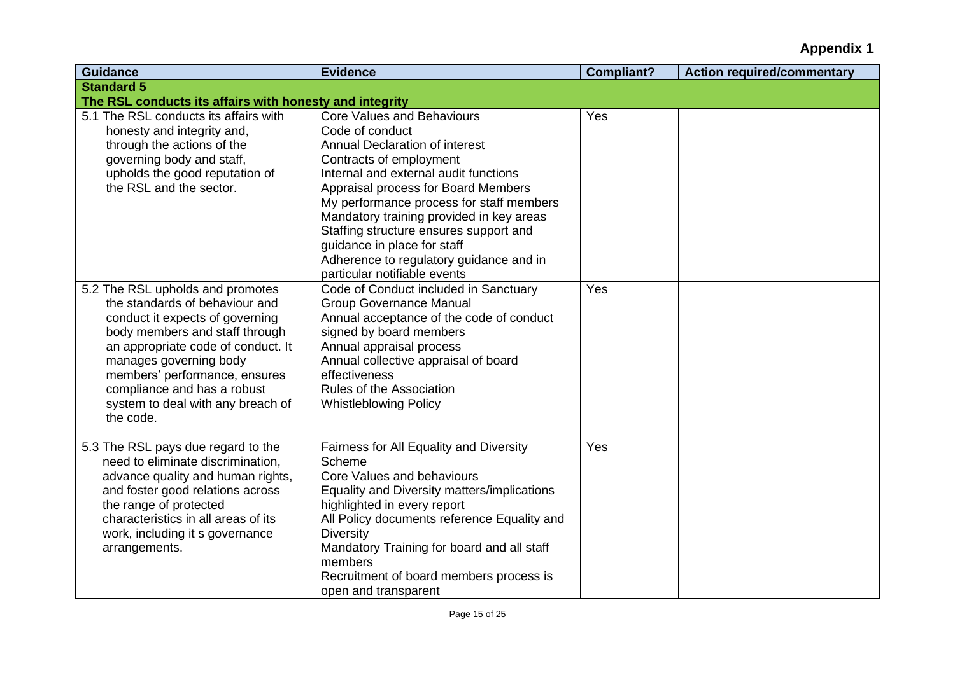| <b>Guidance</b>                                                                                                                                                                                                                                                                                                           | <b>Evidence</b>                                                                                                                                                                                                                                                                                                                                                                                                                                      | <b>Compliant?</b> | <b>Action required/commentary</b> |
|---------------------------------------------------------------------------------------------------------------------------------------------------------------------------------------------------------------------------------------------------------------------------------------------------------------------------|------------------------------------------------------------------------------------------------------------------------------------------------------------------------------------------------------------------------------------------------------------------------------------------------------------------------------------------------------------------------------------------------------------------------------------------------------|-------------------|-----------------------------------|
| <b>Standard 5</b>                                                                                                                                                                                                                                                                                                         |                                                                                                                                                                                                                                                                                                                                                                                                                                                      |                   |                                   |
| The RSL conducts its affairs with honesty and integrity                                                                                                                                                                                                                                                                   |                                                                                                                                                                                                                                                                                                                                                                                                                                                      |                   |                                   |
| 5.1 The RSL conducts its affairs with<br>honesty and integrity and,<br>through the actions of the<br>governing body and staff,<br>upholds the good reputation of<br>the RSL and the sector.                                                                                                                               | <b>Core Values and Behaviours</b><br>Code of conduct<br><b>Annual Declaration of interest</b><br>Contracts of employment<br>Internal and external audit functions<br>Appraisal process for Board Members<br>My performance process for staff members<br>Mandatory training provided in key areas<br>Staffing structure ensures support and<br>guidance in place for staff<br>Adherence to regulatory guidance and in<br>particular notifiable events | Yes               |                                   |
| 5.2 The RSL upholds and promotes<br>the standards of behaviour and<br>conduct it expects of governing<br>body members and staff through<br>an appropriate code of conduct. It<br>manages governing body<br>members' performance, ensures<br>compliance and has a robust<br>system to deal with any breach of<br>the code. | Code of Conduct included in Sanctuary<br><b>Group Governance Manual</b><br>Annual acceptance of the code of conduct<br>signed by board members<br>Annual appraisal process<br>Annual collective appraisal of board<br>effectiveness<br><b>Rules of the Association</b><br><b>Whistleblowing Policy</b>                                                                                                                                               | Yes               |                                   |
| 5.3 The RSL pays due regard to the<br>need to eliminate discrimination,<br>advance quality and human rights,<br>and foster good relations across<br>the range of protected<br>characteristics in all areas of its<br>work, including it s governance<br>arrangements.                                                     | Fairness for All Equality and Diversity<br>Scheme<br>Core Values and behaviours<br>Equality and Diversity matters/implications<br>highlighted in every report<br>All Policy documents reference Equality and<br><b>Diversity</b><br>Mandatory Training for board and all staff<br>members<br>Recruitment of board members process is<br>open and transparent                                                                                         | Yes               |                                   |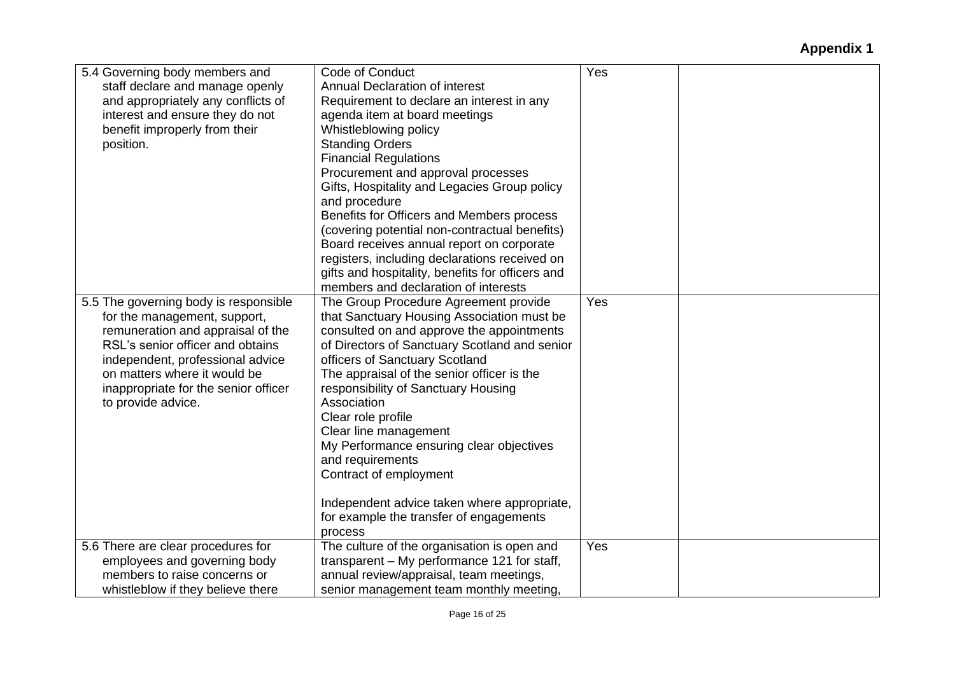| 5.4 Governing body members and        | Code of Conduct                                  | Yes |
|---------------------------------------|--------------------------------------------------|-----|
| staff declare and manage openly       | Annual Declaration of interest                   |     |
| and appropriately any conflicts of    | Requirement to declare an interest in any        |     |
| interest and ensure they do not       | agenda item at board meetings                    |     |
| benefit improperly from their         | Whistleblowing policy                            |     |
| position.                             | <b>Standing Orders</b>                           |     |
|                                       | <b>Financial Regulations</b>                     |     |
|                                       | Procurement and approval processes               |     |
|                                       | Gifts, Hospitality and Legacies Group policy     |     |
|                                       | and procedure                                    |     |
|                                       | Benefits for Officers and Members process        |     |
|                                       | (covering potential non-contractual benefits)    |     |
|                                       | Board receives annual report on corporate        |     |
|                                       | registers, including declarations received on    |     |
|                                       | gifts and hospitality, benefits for officers and |     |
|                                       | members and declaration of interests             |     |
| 5.5 The governing body is responsible | The Group Procedure Agreement provide            | Yes |
| for the management, support,          | that Sanctuary Housing Association must be       |     |
| remuneration and appraisal of the     | consulted on and approve the appointments        |     |
| RSL's senior officer and obtains      | of Directors of Sanctuary Scotland and senior    |     |
| independent, professional advice      | officers of Sanctuary Scotland                   |     |
| on matters where it would be          | The appraisal of the senior officer is the       |     |
| inappropriate for the senior officer  | responsibility of Sanctuary Housing              |     |
| to provide advice.                    | Association                                      |     |
|                                       | Clear role profile                               |     |
|                                       | Clear line management                            |     |
|                                       | My Performance ensuring clear objectives         |     |
|                                       | and requirements                                 |     |
|                                       | Contract of employment                           |     |
|                                       |                                                  |     |
|                                       | Independent advice taken where appropriate,      |     |
|                                       | for example the transfer of engagements          |     |
|                                       | process                                          |     |
| 5.6 There are clear procedures for    | The culture of the organisation is open and      | Yes |
| employees and governing body          | transparent - My performance 121 for staff,      |     |
| members to raise concerns or          | annual review/appraisal, team meetings,          |     |
| whistleblow if they believe there     | senior management team monthly meeting,          |     |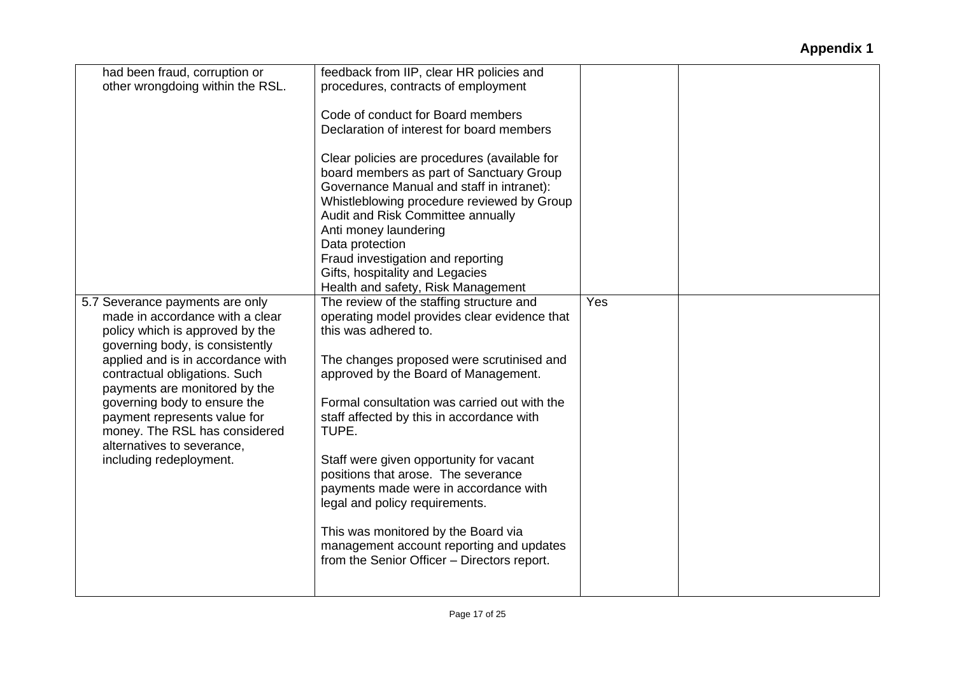| had been fraud, corruption or<br>other wrongdoing within the RSL.                                                                        | feedback from IIP, clear HR policies and<br>procedures, contracts of employment<br>Code of conduct for Board members                                                                                                                                                                           |     |  |
|------------------------------------------------------------------------------------------------------------------------------------------|------------------------------------------------------------------------------------------------------------------------------------------------------------------------------------------------------------------------------------------------------------------------------------------------|-----|--|
|                                                                                                                                          | Declaration of interest for board members<br>Clear policies are procedures (available for<br>board members as part of Sanctuary Group<br>Governance Manual and staff in intranet):<br>Whistleblowing procedure reviewed by Group<br>Audit and Risk Committee annually<br>Anti money laundering |     |  |
|                                                                                                                                          | Data protection<br>Fraud investigation and reporting<br>Gifts, hospitality and Legacies<br>Health and safety, Risk Management                                                                                                                                                                  |     |  |
| 5.7 Severance payments are only<br>made in accordance with a clear<br>policy which is approved by the<br>governing body, is consistently | The review of the staffing structure and<br>operating model provides clear evidence that<br>this was adhered to.                                                                                                                                                                               | Yes |  |
| applied and is in accordance with<br>contractual obligations. Such<br>payments are monitored by the<br>governing body to ensure the      | The changes proposed were scrutinised and<br>approved by the Board of Management.<br>Formal consultation was carried out with the                                                                                                                                                              |     |  |
| payment represents value for<br>money. The RSL has considered<br>alternatives to severance.<br>including redeployment.                   | staff affected by this in accordance with<br>TUPE.<br>Staff were given opportunity for vacant                                                                                                                                                                                                  |     |  |
|                                                                                                                                          | positions that arose. The severance<br>payments made were in accordance with<br>legal and policy requirements.                                                                                                                                                                                 |     |  |
|                                                                                                                                          | This was monitored by the Board via<br>management account reporting and updates<br>from the Senior Officer - Directors report.                                                                                                                                                                 |     |  |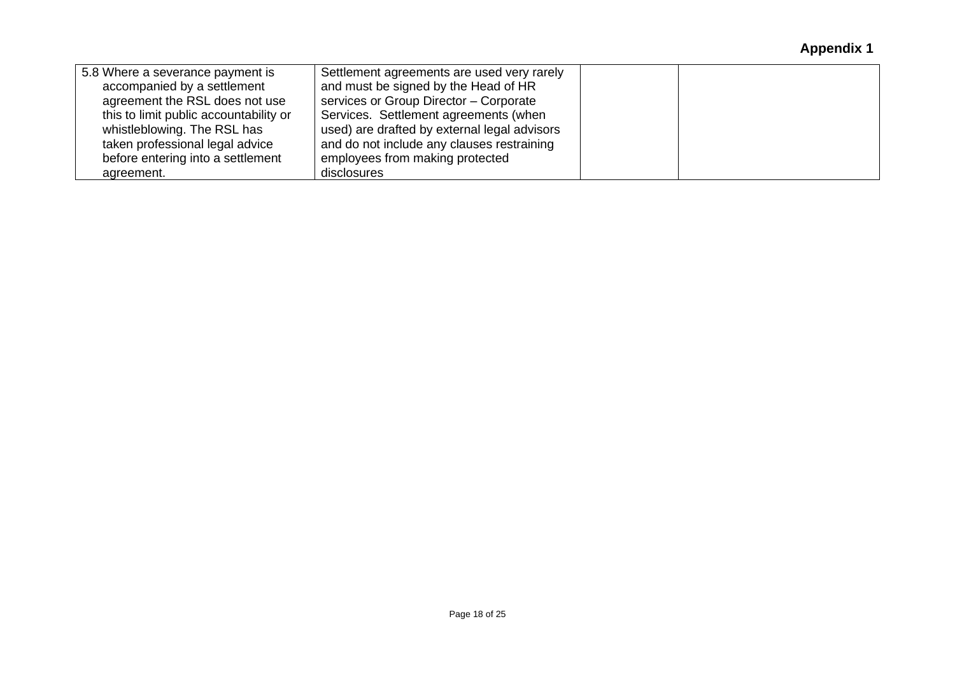| 5.8 Where a severance payment is       | Settlement agreements are used very rarely   |  |
|----------------------------------------|----------------------------------------------|--|
| accompanied by a settlement            | and must be signed by the Head of HR         |  |
| agreement the RSL does not use         | services or Group Director - Corporate       |  |
| this to limit public accountability or | Services. Settlement agreements (when        |  |
| whistleblowing. The RSL has            | used) are drafted by external legal advisors |  |
| taken professional legal advice        | and do not include any clauses restraining   |  |
| before entering into a settlement      | employees from making protected              |  |
| agreement.                             | disclosures                                  |  |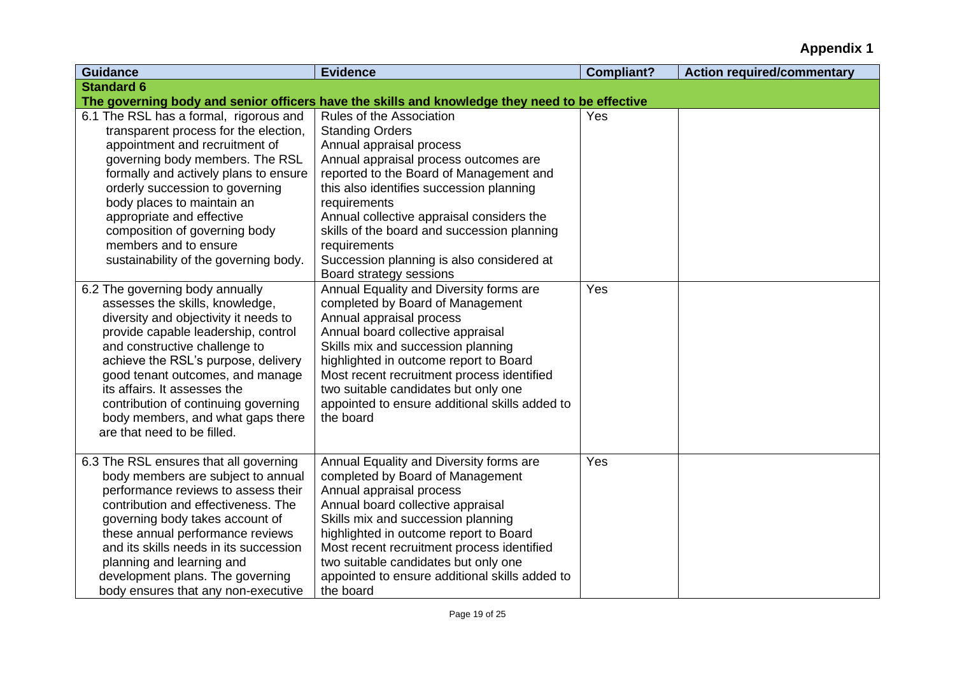| <b>Guidance</b>                                                      | <b>Evidence</b>                                                                                | <b>Compliant?</b> | <b>Action required/commentary</b> |
|----------------------------------------------------------------------|------------------------------------------------------------------------------------------------|-------------------|-----------------------------------|
| <b>Standard 6</b>                                                    |                                                                                                |                   |                                   |
|                                                                      | The governing body and senior officers have the skills and knowledge they need to be effective |                   |                                   |
| 6.1 The RSL has a formal, rigorous and                               | Rules of the Association                                                                       | Yes               |                                   |
| transparent process for the election,                                | <b>Standing Orders</b>                                                                         |                   |                                   |
| appointment and recruitment of                                       | Annual appraisal process                                                                       |                   |                                   |
| governing body members. The RSL                                      | Annual appraisal process outcomes are                                                          |                   |                                   |
| formally and actively plans to ensure                                | reported to the Board of Management and                                                        |                   |                                   |
| orderly succession to governing                                      | this also identifies succession planning                                                       |                   |                                   |
| body places to maintain an                                           | requirements                                                                                   |                   |                                   |
| appropriate and effective                                            | Annual collective appraisal considers the                                                      |                   |                                   |
| composition of governing body                                        | skills of the board and succession planning                                                    |                   |                                   |
| members and to ensure                                                | requirements                                                                                   |                   |                                   |
| sustainability of the governing body.                                | Succession planning is also considered at                                                      |                   |                                   |
|                                                                      | Board strategy sessions                                                                        |                   |                                   |
| 6.2 The governing body annually                                      | Annual Equality and Diversity forms are                                                        | Yes               |                                   |
| assesses the skills, knowledge,                                      | completed by Board of Management                                                               |                   |                                   |
| diversity and objectivity it needs to                                | Annual appraisal process                                                                       |                   |                                   |
| provide capable leadership, control                                  | Annual board collective appraisal                                                              |                   |                                   |
| and constructive challenge to<br>achieve the RSL's purpose, delivery | Skills mix and succession planning<br>highlighted in outcome report to Board                   |                   |                                   |
| good tenant outcomes, and manage                                     | Most recent recruitment process identified                                                     |                   |                                   |
| its affairs. It assesses the                                         | two suitable candidates but only one                                                           |                   |                                   |
| contribution of continuing governing                                 | appointed to ensure additional skills added to                                                 |                   |                                   |
| body members, and what gaps there                                    | the board                                                                                      |                   |                                   |
| are that need to be filled.                                          |                                                                                                |                   |                                   |
|                                                                      |                                                                                                |                   |                                   |
| 6.3 The RSL ensures that all governing                               | Annual Equality and Diversity forms are                                                        | Yes               |                                   |
| body members are subject to annual                                   | completed by Board of Management                                                               |                   |                                   |
| performance reviews to assess their                                  | Annual appraisal process                                                                       |                   |                                   |
| contribution and effectiveness. The                                  | Annual board collective appraisal                                                              |                   |                                   |
| governing body takes account of                                      | Skills mix and succession planning                                                             |                   |                                   |
| these annual performance reviews                                     | highlighted in outcome report to Board                                                         |                   |                                   |
| and its skills needs in its succession                               | Most recent recruitment process identified                                                     |                   |                                   |
| planning and learning and                                            | two suitable candidates but only one                                                           |                   |                                   |
| development plans. The governing                                     | appointed to ensure additional skills added to                                                 |                   |                                   |
| body ensures that any non-executive                                  | the board                                                                                      |                   |                                   |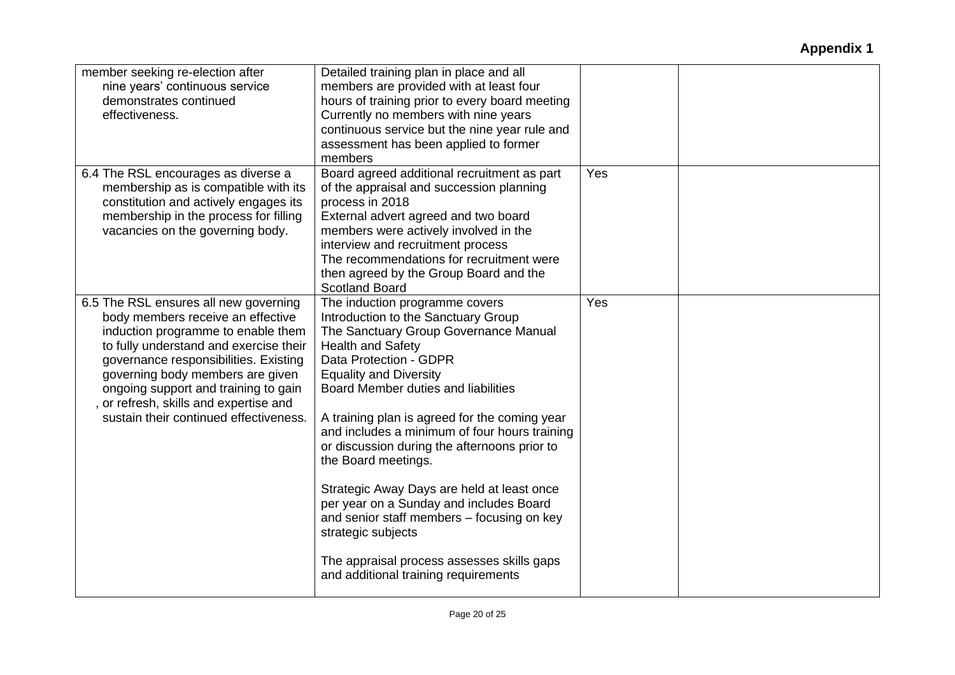| member seeking re-election after<br>nine years' continuous service<br>demonstrates continued<br>effectiveness.                                                                                                                                                                                                                                                    | Detailed training plan in place and all<br>members are provided with at least four<br>hours of training prior to every board meeting<br>Currently no members with nine years<br>continuous service but the nine year rule and<br>assessment has been applied to former<br>members                                                                                                                                                                                                                                                                                                                                                                                        |     |  |
|-------------------------------------------------------------------------------------------------------------------------------------------------------------------------------------------------------------------------------------------------------------------------------------------------------------------------------------------------------------------|--------------------------------------------------------------------------------------------------------------------------------------------------------------------------------------------------------------------------------------------------------------------------------------------------------------------------------------------------------------------------------------------------------------------------------------------------------------------------------------------------------------------------------------------------------------------------------------------------------------------------------------------------------------------------|-----|--|
| 6.4 The RSL encourages as diverse a<br>membership as is compatible with its<br>constitution and actively engages its<br>membership in the process for filling<br>vacancies on the governing body.                                                                                                                                                                 | Board agreed additional recruitment as part<br>of the appraisal and succession planning<br>process in 2018<br>External advert agreed and two board<br>members were actively involved in the<br>interview and recruitment process<br>The recommendations for recruitment were<br>then agreed by the Group Board and the<br><b>Scotland Board</b>                                                                                                                                                                                                                                                                                                                          | Yes |  |
| 6.5 The RSL ensures all new governing<br>body members receive an effective<br>induction programme to enable them<br>to fully understand and exercise their<br>governance responsibilities. Existing<br>governing body members are given<br>ongoing support and training to gain<br>or refresh, skills and expertise and<br>sustain their continued effectiveness. | The induction programme covers<br>Introduction to the Sanctuary Group<br>The Sanctuary Group Governance Manual<br><b>Health and Safety</b><br>Data Protection - GDPR<br><b>Equality and Diversity</b><br>Board Member duties and liabilities<br>A training plan is agreed for the coming year<br>and includes a minimum of four hours training<br>or discussion during the afternoons prior to<br>the Board meetings.<br>Strategic Away Days are held at least once<br>per year on a Sunday and includes Board<br>and senior staff members - focusing on key<br>strategic subjects<br>The appraisal process assesses skills gaps<br>and additional training requirements | Yes |  |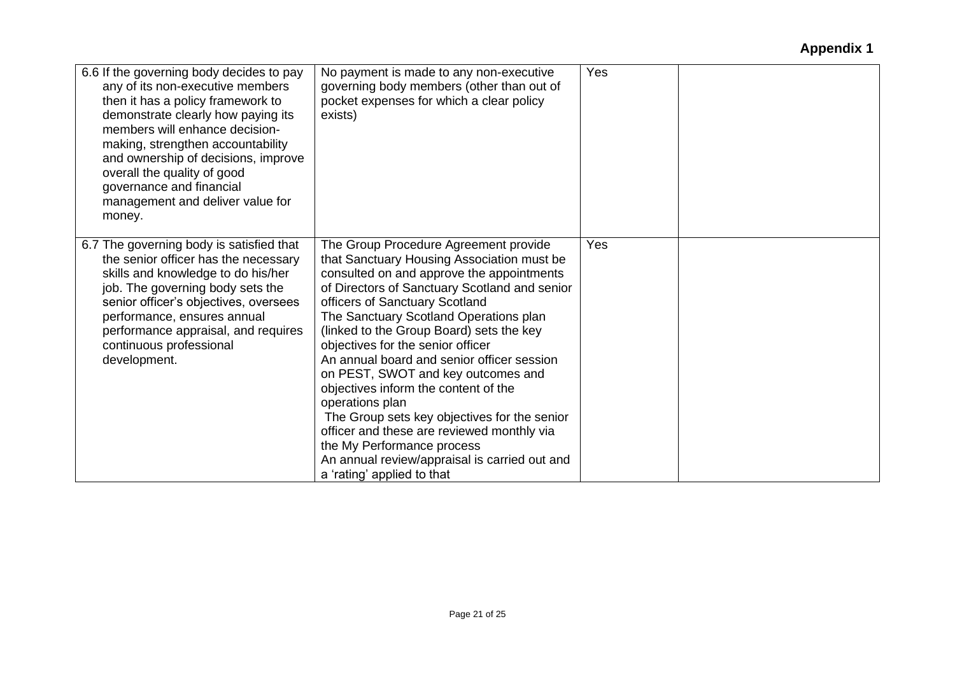| 6.6 If the governing body decides to pay<br>any of its non-executive members<br>then it has a policy framework to<br>demonstrate clearly how paying its<br>members will enhance decision-<br>making, strengthen accountability<br>and ownership of decisions, improve<br>overall the quality of good<br>governance and financial<br>management and deliver value for<br>money. | No payment is made to any non-executive<br>governing body members (other than out of<br>pocket expenses for which a clear policy<br>exists)                                                                                                                                                                                                                                                                                                                                                                                                                                                                                                                                                              | Yes |  |
|--------------------------------------------------------------------------------------------------------------------------------------------------------------------------------------------------------------------------------------------------------------------------------------------------------------------------------------------------------------------------------|----------------------------------------------------------------------------------------------------------------------------------------------------------------------------------------------------------------------------------------------------------------------------------------------------------------------------------------------------------------------------------------------------------------------------------------------------------------------------------------------------------------------------------------------------------------------------------------------------------------------------------------------------------------------------------------------------------|-----|--|
| 6.7 The governing body is satisfied that<br>the senior officer has the necessary<br>skills and knowledge to do his/her<br>job. The governing body sets the<br>senior officer's objectives, oversees<br>performance, ensures annual<br>performance appraisal, and requires<br>continuous professional<br>development.                                                           | The Group Procedure Agreement provide<br>that Sanctuary Housing Association must be<br>consulted on and approve the appointments<br>of Directors of Sanctuary Scotland and senior<br>officers of Sanctuary Scotland<br>The Sanctuary Scotland Operations plan<br>(linked to the Group Board) sets the key<br>objectives for the senior officer<br>An annual board and senior officer session<br>on PEST, SWOT and key outcomes and<br>objectives inform the content of the<br>operations plan<br>The Group sets key objectives for the senior<br>officer and these are reviewed monthly via<br>the My Performance process<br>An annual review/appraisal is carried out and<br>a 'rating' applied to that | Yes |  |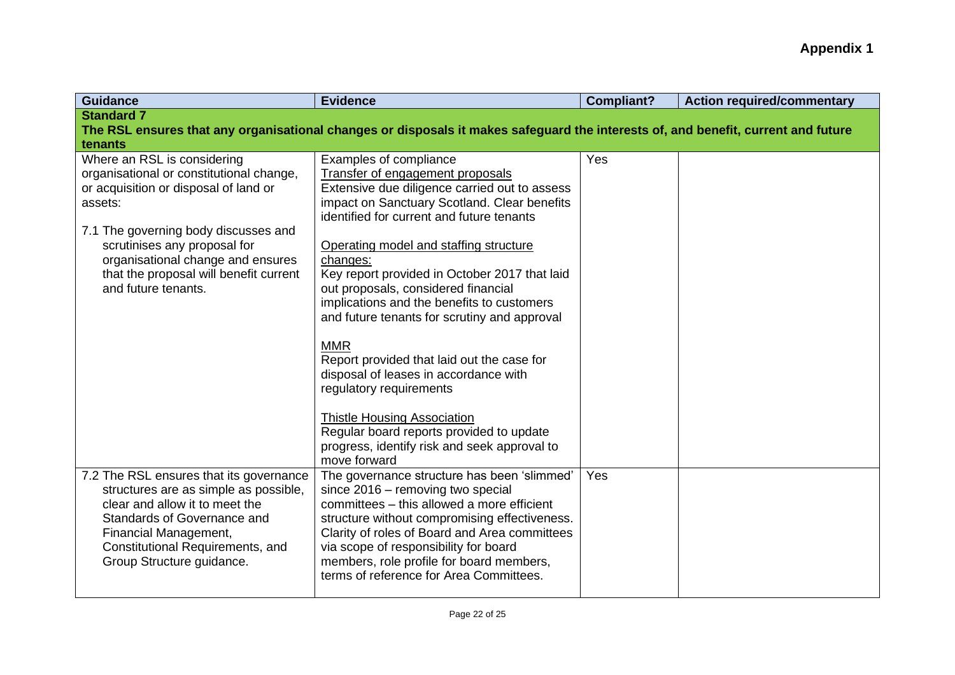| <b>Guidance</b>                                                                                                                                                                                                                                                                                           | <b>Evidence</b>                                                                                                                                                                                                                                                                                                                                                                                                                                                                                                                                                                                                                                                                                                                        | <b>Compliant?</b> | <b>Action required/commentary</b> |
|-----------------------------------------------------------------------------------------------------------------------------------------------------------------------------------------------------------------------------------------------------------------------------------------------------------|----------------------------------------------------------------------------------------------------------------------------------------------------------------------------------------------------------------------------------------------------------------------------------------------------------------------------------------------------------------------------------------------------------------------------------------------------------------------------------------------------------------------------------------------------------------------------------------------------------------------------------------------------------------------------------------------------------------------------------------|-------------------|-----------------------------------|
| <b>Standard 7</b><br>tenants                                                                                                                                                                                                                                                                              | The RSL ensures that any organisational changes or disposals it makes safeguard the interests of, and benefit, current and future                                                                                                                                                                                                                                                                                                                                                                                                                                                                                                                                                                                                      |                   |                                   |
| Where an RSL is considering<br>organisational or constitutional change,<br>or acquisition or disposal of land or<br>assets:<br>7.1 The governing body discusses and<br>scrutinises any proposal for<br>organisational change and ensures<br>that the proposal will benefit current<br>and future tenants. | Examples of compliance<br>Transfer of engagement proposals<br>Extensive due diligence carried out to assess<br>impact on Sanctuary Scotland. Clear benefits<br>identified for current and future tenants<br>Operating model and staffing structure<br>changes:<br>Key report provided in October 2017 that laid<br>out proposals, considered financial<br>implications and the benefits to customers<br>and future tenants for scrutiny and approval<br><b>MMR</b><br>Report provided that laid out the case for<br>disposal of leases in accordance with<br>regulatory requirements<br><b>Thistle Housing Association</b><br>Regular board reports provided to update<br>progress, identify risk and seek approval to<br>move forward | Yes               |                                   |
| 7.2 The RSL ensures that its governance<br>structures are as simple as possible,<br>clear and allow it to meet the<br>Standards of Governance and<br>Financial Management,<br>Constitutional Requirements, and<br>Group Structure guidance.                                                               | The governance structure has been 'slimmed'<br>since 2016 - removing two special<br>committees - this allowed a more efficient<br>structure without compromising effectiveness.<br>Clarity of roles of Board and Area committees<br>via scope of responsibility for board<br>members, role profile for board members,<br>terms of reference for Area Committees.                                                                                                                                                                                                                                                                                                                                                                       | Yes               |                                   |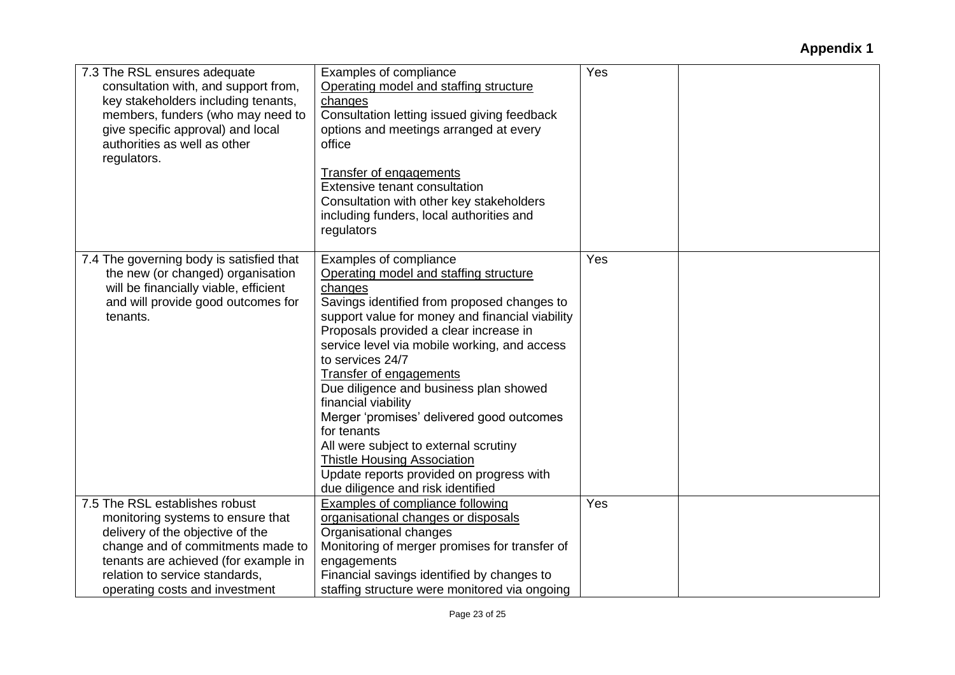| 7.3 The RSL ensures adequate<br>consultation with, and support from,<br>key stakeholders including tenants,<br>members, funders (who may need to<br>give specific approval) and local<br>authorities as well as other<br>regulators.                     | Examples of compliance<br>Operating model and staffing structure<br>changes<br>Consultation letting issued giving feedback<br>options and meetings arranged at every<br>office<br>Transfer of engagements<br><b>Extensive tenant consultation</b><br>Consultation with other key stakeholders<br>including funders, local authorities and<br>regulators                                                                                                                                                                                                                                                                    | Yes |  |
|----------------------------------------------------------------------------------------------------------------------------------------------------------------------------------------------------------------------------------------------------------|----------------------------------------------------------------------------------------------------------------------------------------------------------------------------------------------------------------------------------------------------------------------------------------------------------------------------------------------------------------------------------------------------------------------------------------------------------------------------------------------------------------------------------------------------------------------------------------------------------------------------|-----|--|
| 7.4 The governing body is satisfied that<br>the new (or changed) organisation<br>will be financially viable, efficient<br>and will provide good outcomes for<br>tenants.                                                                                 | Examples of compliance<br>Operating model and staffing structure<br>changes<br>Savings identified from proposed changes to<br>support value for money and financial viability<br>Proposals provided a clear increase in<br>service level via mobile working, and access<br>to services 24/7<br><b>Transfer of engagements</b><br>Due diligence and business plan showed<br>financial viability<br>Merger 'promises' delivered good outcomes<br>for tenants<br>All were subject to external scrutiny<br><b>Thistle Housing Association</b><br>Update reports provided on progress with<br>due diligence and risk identified | Yes |  |
| 7.5 The RSL establishes robust<br>monitoring systems to ensure that<br>delivery of the objective of the<br>change and of commitments made to<br>tenants are achieved (for example in<br>relation to service standards,<br>operating costs and investment | <b>Examples of compliance following</b><br>organisational changes or disposals<br>Organisational changes<br>Monitoring of merger promises for transfer of<br>engagements<br>Financial savings identified by changes to<br>staffing structure were monitored via ongoing                                                                                                                                                                                                                                                                                                                                                    | Yes |  |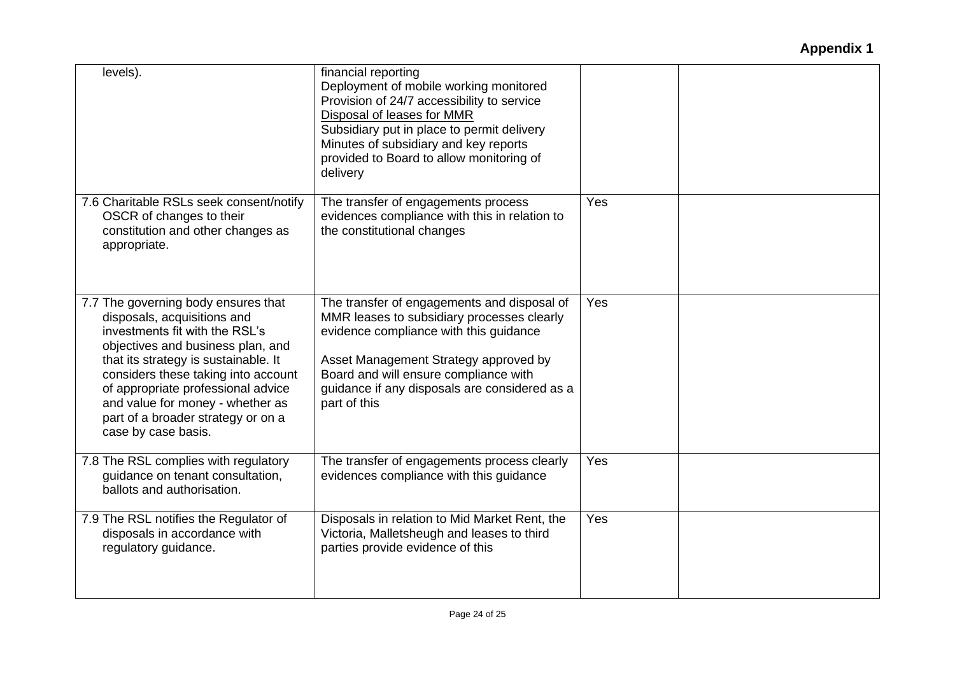| levels).                                                                                                                                                                                                                                                                                                                                                        | financial reporting<br>Deployment of mobile working monitored<br>Provision of 24/7 accessibility to service<br>Disposal of leases for MMR<br>Subsidiary put in place to permit delivery<br>Minutes of subsidiary and key reports<br>provided to Board to allow monitoring of<br>delivery |     |  |
|-----------------------------------------------------------------------------------------------------------------------------------------------------------------------------------------------------------------------------------------------------------------------------------------------------------------------------------------------------------------|------------------------------------------------------------------------------------------------------------------------------------------------------------------------------------------------------------------------------------------------------------------------------------------|-----|--|
| 7.6 Charitable RSLs seek consent/notify<br>OSCR of changes to their<br>constitution and other changes as<br>appropriate.                                                                                                                                                                                                                                        | The transfer of engagements process<br>evidences compliance with this in relation to<br>the constitutional changes                                                                                                                                                                       | Yes |  |
| 7.7 The governing body ensures that<br>disposals, acquisitions and<br>investments fit with the RSL's<br>objectives and business plan, and<br>that its strategy is sustainable. It<br>considers these taking into account<br>of appropriate professional advice<br>and value for money - whether as<br>part of a broader strategy or on a<br>case by case basis. | The transfer of engagements and disposal of<br>MMR leases to subsidiary processes clearly<br>evidence compliance with this guidance<br>Asset Management Strategy approved by<br>Board and will ensure compliance with<br>guidance if any disposals are considered as a<br>part of this   | Yes |  |
| 7.8 The RSL complies with regulatory<br>guidance on tenant consultation,<br>ballots and authorisation.                                                                                                                                                                                                                                                          | The transfer of engagements process clearly<br>evidences compliance with this guidance                                                                                                                                                                                                   | Yes |  |
| 7.9 The RSL notifies the Regulator of<br>disposals in accordance with<br>regulatory guidance.                                                                                                                                                                                                                                                                   | Disposals in relation to Mid Market Rent, the<br>Victoria, Malletsheugh and leases to third<br>parties provide evidence of this                                                                                                                                                          | Yes |  |